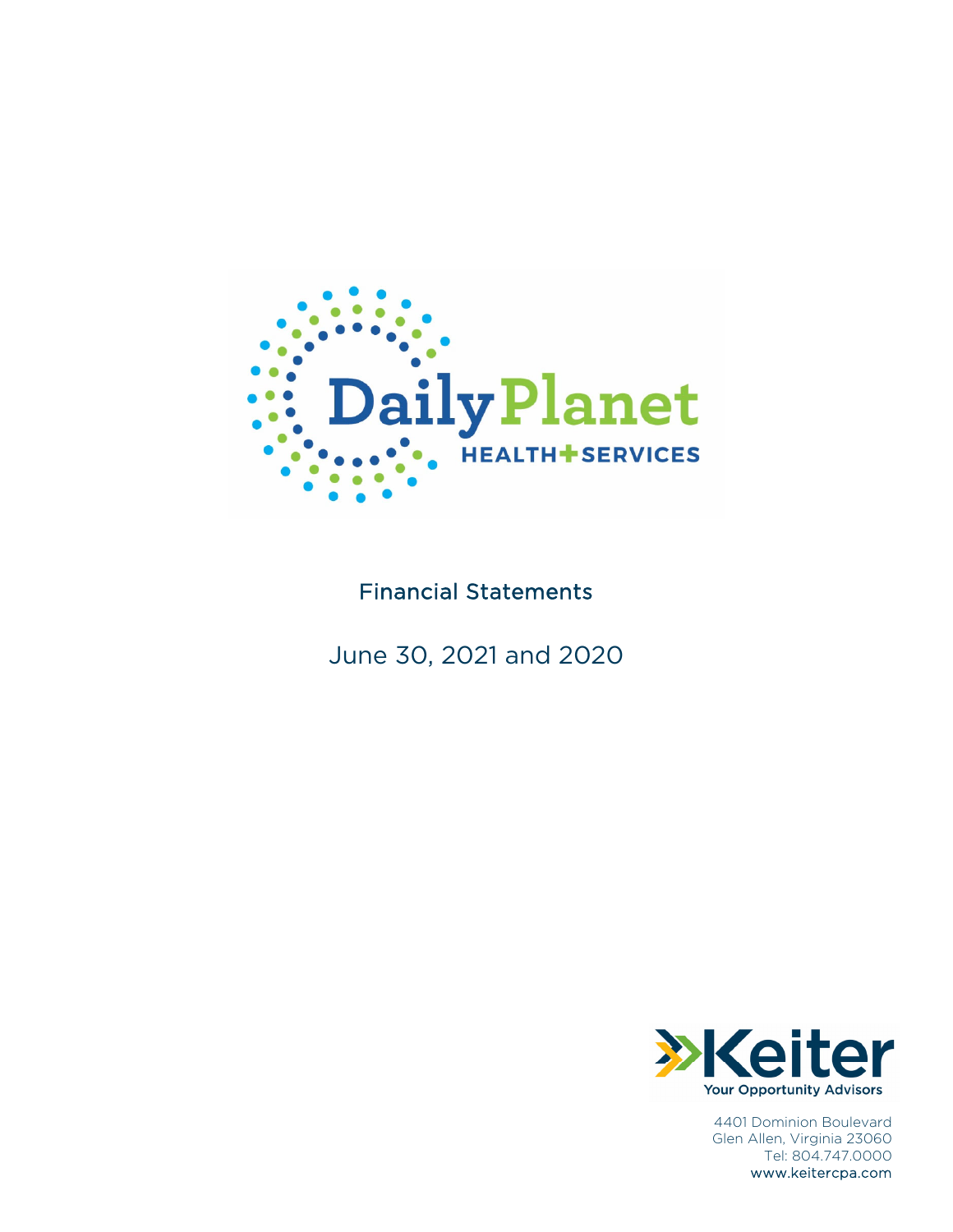

# Financial Statements

June 30, 2021 and 2020



4401 Dominion Boulevard Glen Allen, Virginia 23060 Tel: 804.747.0000 www.keitercpa.com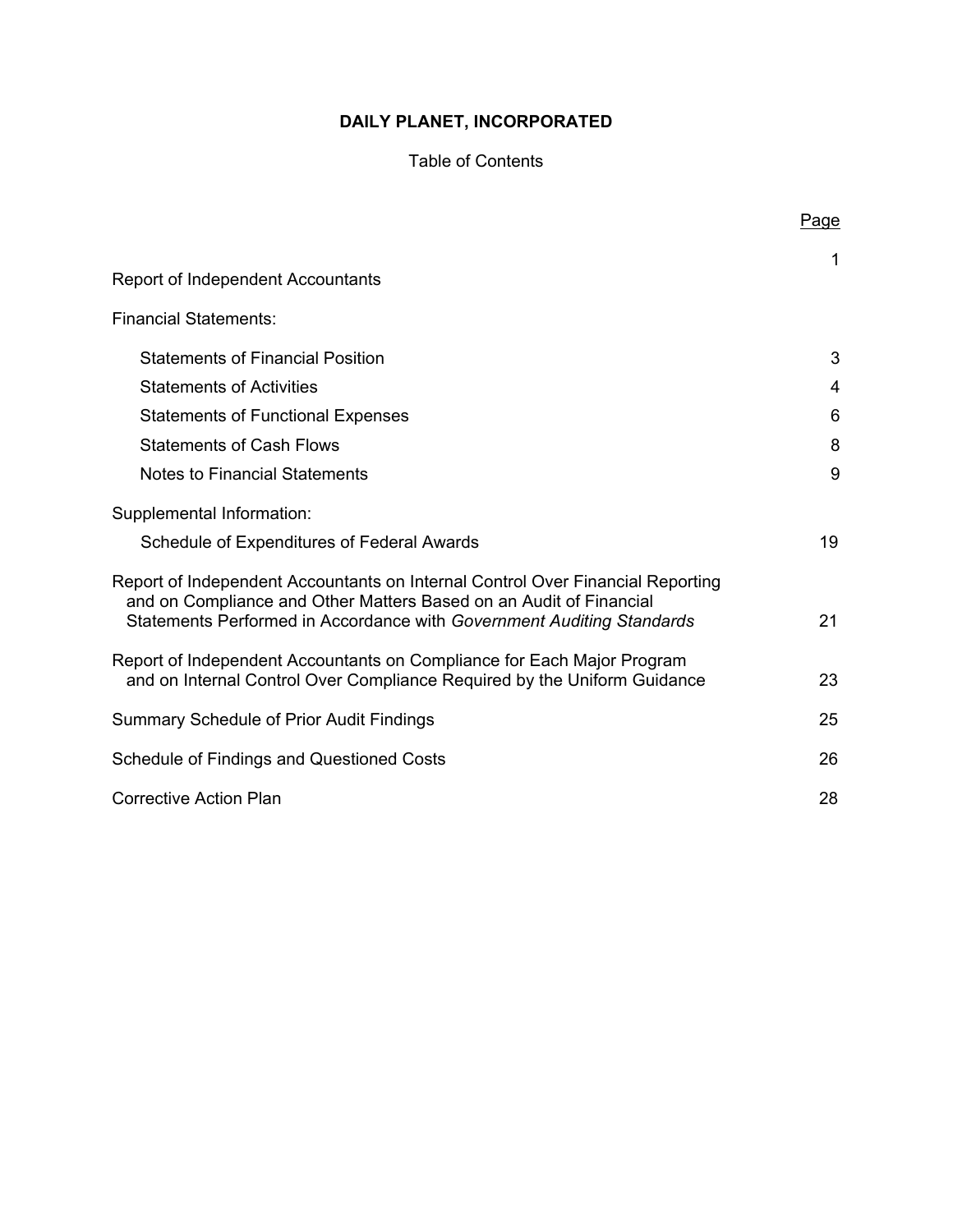## Table of Contents

|                                                                                                                                                                                                                               | Page |
|-------------------------------------------------------------------------------------------------------------------------------------------------------------------------------------------------------------------------------|------|
| <b>Report of Independent Accountants</b>                                                                                                                                                                                      | 1    |
| <b>Financial Statements:</b>                                                                                                                                                                                                  |      |
| <b>Statements of Financial Position</b>                                                                                                                                                                                       | 3    |
| <b>Statements of Activities</b>                                                                                                                                                                                               | 4    |
| <b>Statements of Functional Expenses</b>                                                                                                                                                                                      | 6    |
| <b>Statements of Cash Flows</b>                                                                                                                                                                                               | 8    |
| Notes to Financial Statements                                                                                                                                                                                                 | 9    |
| Supplemental Information:                                                                                                                                                                                                     |      |
| Schedule of Expenditures of Federal Awards                                                                                                                                                                                    | 19   |
| Report of Independent Accountants on Internal Control Over Financial Reporting<br>and on Compliance and Other Matters Based on an Audit of Financial<br>Statements Performed in Accordance with Government Auditing Standards | 21   |
| Report of Independent Accountants on Compliance for Each Major Program<br>and on Internal Control Over Compliance Required by the Uniform Guidance                                                                            | 23   |
| <b>Summary Schedule of Prior Audit Findings</b>                                                                                                                                                                               | 25   |
| Schedule of Findings and Questioned Costs                                                                                                                                                                                     | 26   |
| Corrective Action Plan                                                                                                                                                                                                        | 28   |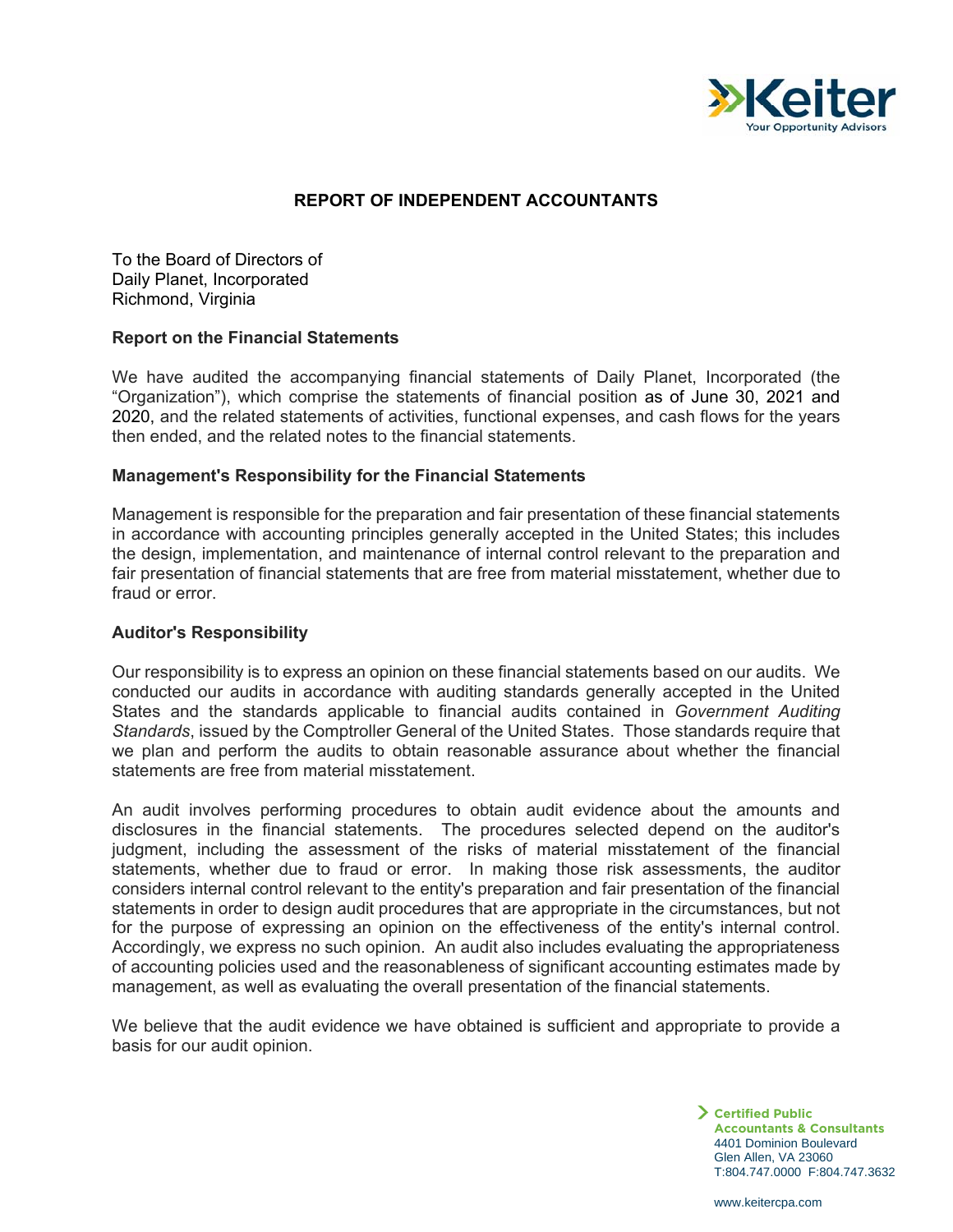

## **REPORT OF INDEPENDENT ACCOUNTANTS**

To the Board of Directors of Daily Planet, Incorporated Richmond, Virginia

#### **Report on the Financial Statements**

We have audited the accompanying financial statements of Daily Planet, Incorporated (the "Organization"), which comprise the statements of financial position as of June 30, 2021 and 2020, and the related statements of activities, functional expenses, and cash flows for the years then ended, and the related notes to the financial statements.

#### **Management's Responsibility for the Financial Statements**

Management is responsible for the preparation and fair presentation of these financial statements in accordance with accounting principles generally accepted in the United States; this includes the design, implementation, and maintenance of internal control relevant to the preparation and fair presentation of financial statements that are free from material misstatement, whether due to fraud or error.

#### **Auditor's Responsibility**

Our responsibility is to express an opinion on these financial statements based on our audits. We conducted our audits in accordance with auditing standards generally accepted in the United States and the standards applicable to financial audits contained in *Government Auditing Standards*, issued by the Comptroller General of the United States. Those standards require that we plan and perform the audits to obtain reasonable assurance about whether the financial statements are free from material misstatement.

An audit involves performing procedures to obtain audit evidence about the amounts and disclosures in the financial statements. The procedures selected depend on the auditor's judgment, including the assessment of the risks of material misstatement of the financial statements, whether due to fraud or error. In making those risk assessments, the auditor considers internal control relevant to the entity's preparation and fair presentation of the financial statements in order to design audit procedures that are appropriate in the circumstances, but not for the purpose of expressing an opinion on the effectiveness of the entity's internal control. Accordingly, we express no such opinion. An audit also includes evaluating the appropriateness of accounting policies used and the reasonableness of significant accounting estimates made by management, as well as evaluating the overall presentation of the financial statements.

We believe that the audit evidence we have obtained is sufficient and appropriate to provide a basis for our audit opinion.

> **Certified Public Accountants & Consultants**  4401 Dominion Boulevard Glen Allen, VA 23060 T:804.747.0000 F:804.747.3632

www.keitercpa.com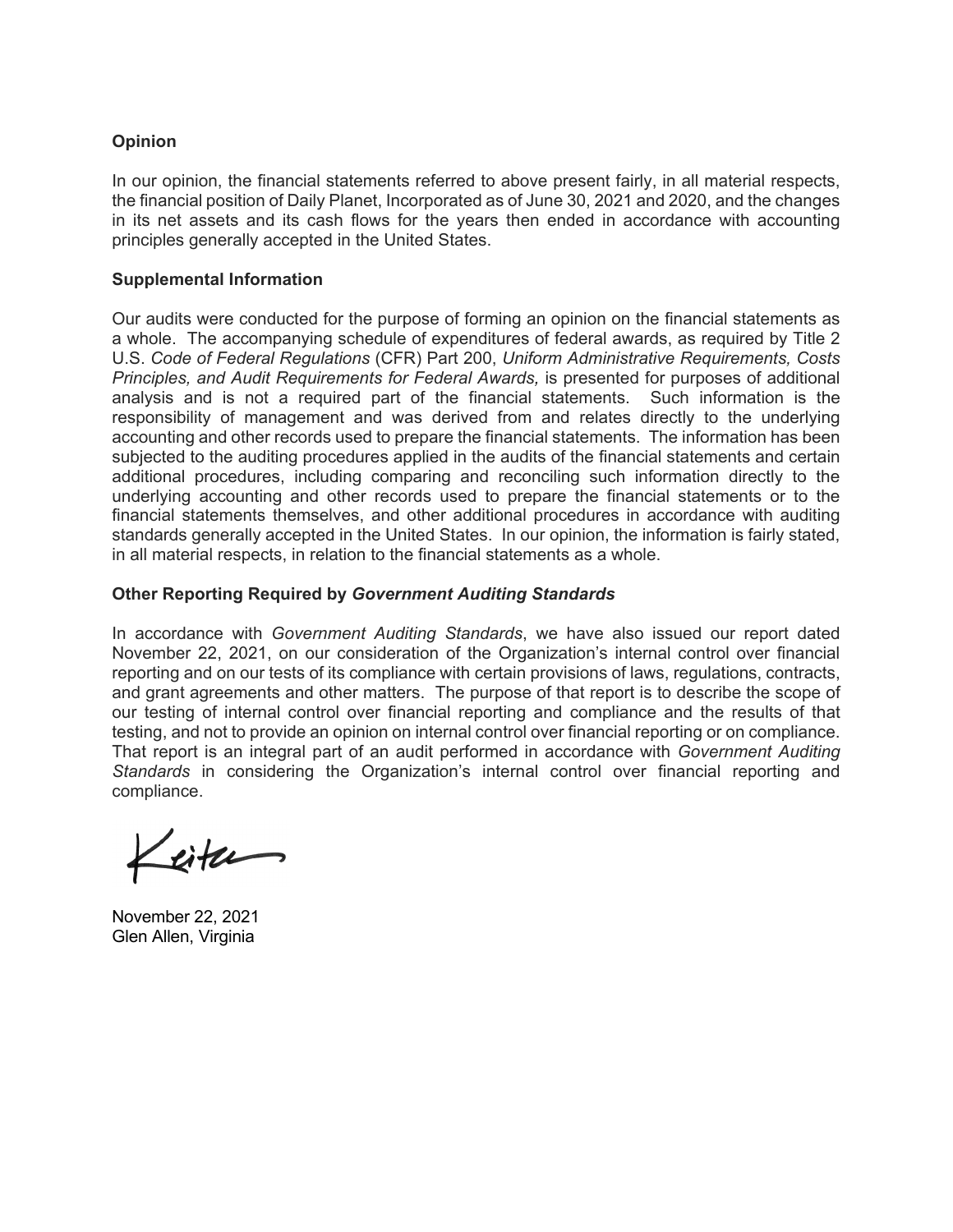## **Opinion**

In our opinion, the financial statements referred to above present fairly, in all material respects. the financial position of Daily Planet, Incorporated as of June 30, 2021 and 2020, and the changes in its net assets and its cash flows for the years then ended in accordance with accounting principles generally accepted in the United States.

### **Supplemental Information**

Our audits were conducted for the purpose of forming an opinion on the financial statements as a whole. The accompanying schedule of expenditures of federal awards, as required by Title 2 U.S. *Code of Federal Regulations* (CFR) Part 200, *Uniform Administrative Requirements, Costs Principles, and Audit Requirements for Federal Awards,* is presented for purposes of additional analysis and is not a required part of the financial statements. Such information is the responsibility of management and was derived from and relates directly to the underlying accounting and other records used to prepare the financial statements. The information has been subjected to the auditing procedures applied in the audits of the financial statements and certain additional procedures, including comparing and reconciling such information directly to the underlying accounting and other records used to prepare the financial statements or to the financial statements themselves, and other additional procedures in accordance with auditing standards generally accepted in the United States. In our opinion, the information is fairly stated, in all material respects, in relation to the financial statements as a whole.

## **Other Reporting Required by** *Government Auditing Standards*

In accordance with *Government Auditing Standards*, we have also issued our report dated November 22, 2021, on our consideration of the Organization's internal control over financial reporting and on our tests of its compliance with certain provisions of laws, regulations, contracts, and grant agreements and other matters. The purpose of that report is to describe the scope of our testing of internal control over financial reporting and compliance and the results of that testing, and not to provide an opinion on internal control over financial reporting or on compliance. That report is an integral part of an audit performed in accordance with *Government Auditing Standards* in considering the Organization's internal control over financial reporting and compliance.

Keiter

November 22, 2021 Glen Allen, Virginia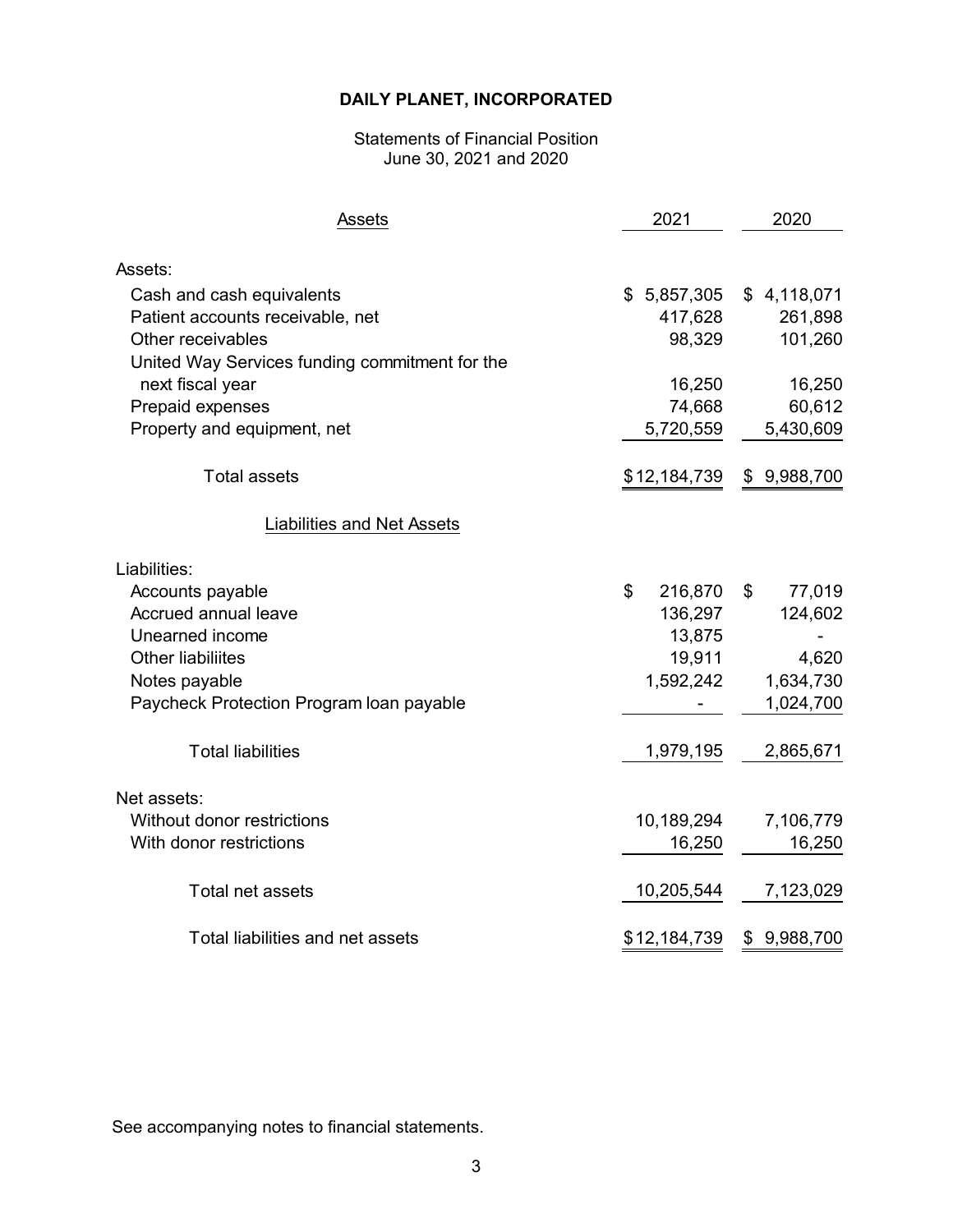## Statements of Financial Position June 30, 2021 and 2020

| Assets                                         | 2021          | 2020            |
|------------------------------------------------|---------------|-----------------|
|                                                |               |                 |
| Assets:                                        |               |                 |
| Cash and cash equivalents                      | \$5,857,305   | \$4,118,071     |
| Patient accounts receivable, net               | 417,628       | 261,898         |
| Other receivables                              | 98,329        | 101,260         |
| United Way Services funding commitment for the |               |                 |
| next fiscal year                               | 16,250        | 16,250          |
| Prepaid expenses                               | 74,668        | 60,612          |
| Property and equipment, net                    | 5,720,559     | 5,430,609       |
| <b>Total assets</b>                            | \$12,184,739  | \$9,988,700     |
| <b>Liabilities and Net Assets</b>              |               |                 |
| Liabilities:                                   |               |                 |
| Accounts payable                               | \$<br>216,870 | 77,019<br>\$    |
| Accrued annual leave                           | 136,297       | 124,602         |
| Unearned income                                | 13,875        |                 |
| <b>Other liabiliites</b>                       | 19,911        | 4,620           |
| Notes payable                                  | 1,592,242     | 1,634,730       |
| Paycheck Protection Program loan payable       |               | 1,024,700       |
| <b>Total liabilities</b>                       | 1,979,195     | 2,865,671       |
| Net assets:                                    |               |                 |
| Without donor restrictions                     | 10,189,294    | 7,106,779       |
| With donor restrictions                        | 16,250        | 16,250          |
| Total net assets                               | 10,205,544    | 7,123,029       |
| Total liabilities and net assets               | \$12,184,739  | \$<br>9,988,700 |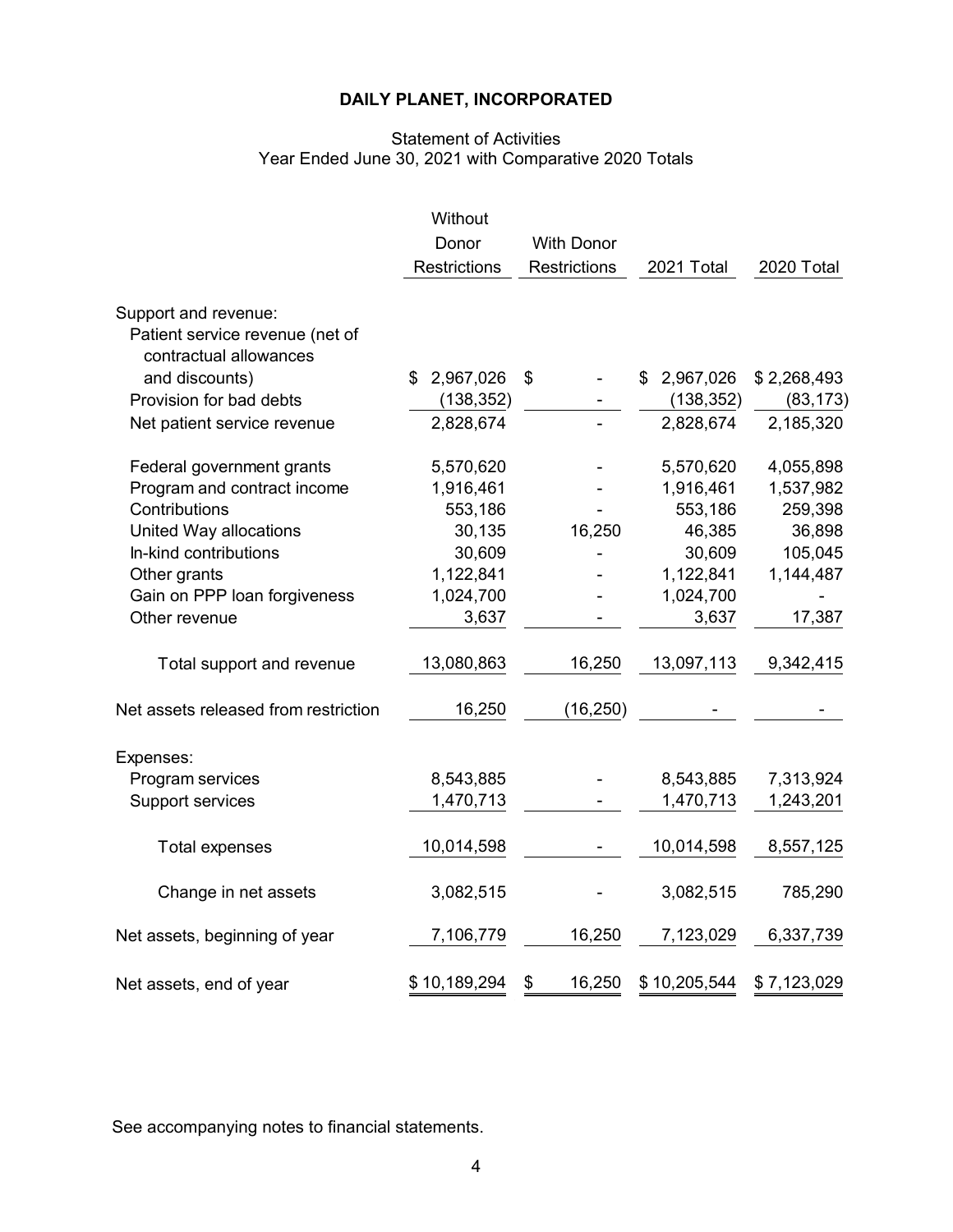## Statement of Activities Year Ended June 30, 2021 with Comparative 2020 Totals

|                                                           | Without             |                   |                 |             |
|-----------------------------------------------------------|---------------------|-------------------|-----------------|-------------|
|                                                           | Donor               | <b>With Donor</b> |                 |             |
|                                                           | <b>Restrictions</b> | Restrictions      | 2021 Total      | 2020 Total  |
| Support and revenue:                                      |                     |                   |                 |             |
| Patient service revenue (net of<br>contractual allowances |                     |                   |                 |             |
| and discounts)                                            | 2,967,026<br>\$     | \$                | 2,967,026<br>\$ | \$2,268,493 |
| Provision for bad debts                                   | (138, 352)          |                   | (138, 352)      | (83, 173)   |
| Net patient service revenue                               | 2,828,674           |                   | 2,828,674       | 2,185,320   |
| Federal government grants                                 | 5,570,620           |                   | 5,570,620       | 4,055,898   |
| Program and contract income                               | 1,916,461           |                   | 1,916,461       | 1,537,982   |
| Contributions                                             | 553,186             |                   | 553,186         | 259,398     |
| United Way allocations                                    | 30,135              | 16,250            | 46,385          | 36,898      |
| In-kind contributions                                     | 30,609              |                   | 30,609          | 105,045     |
| Other grants                                              | 1,122,841           |                   | 1,122,841       | 1,144,487   |
| Gain on PPP loan forgiveness                              | 1,024,700           |                   | 1,024,700       |             |
| Other revenue                                             | 3,637               |                   | 3,637           | 17,387      |
| Total support and revenue                                 | 13,080,863          | 16,250            | 13,097,113      | 9,342,415   |
| Net assets released from restriction                      | 16,250              | (16, 250)         |                 |             |
| Expenses:                                                 |                     |                   |                 |             |
| Program services                                          | 8,543,885           |                   | 8,543,885       | 7,313,924   |
| Support services                                          | 1,470,713           |                   | 1,470,713       | 1,243,201   |
| Total expenses                                            | 10,014,598          |                   | 10,014,598      | 8,557,125   |
| Change in net assets                                      | 3,082,515           |                   | 3,082,515       | 785,290     |
| Net assets, beginning of year                             | 7,106,779           | 16,250            | 7,123,029       | 6,337,739   |
| Net assets, end of year                                   | \$10,189,294        | 16,250<br>\$      | \$10,205,544    | \$7,123,029 |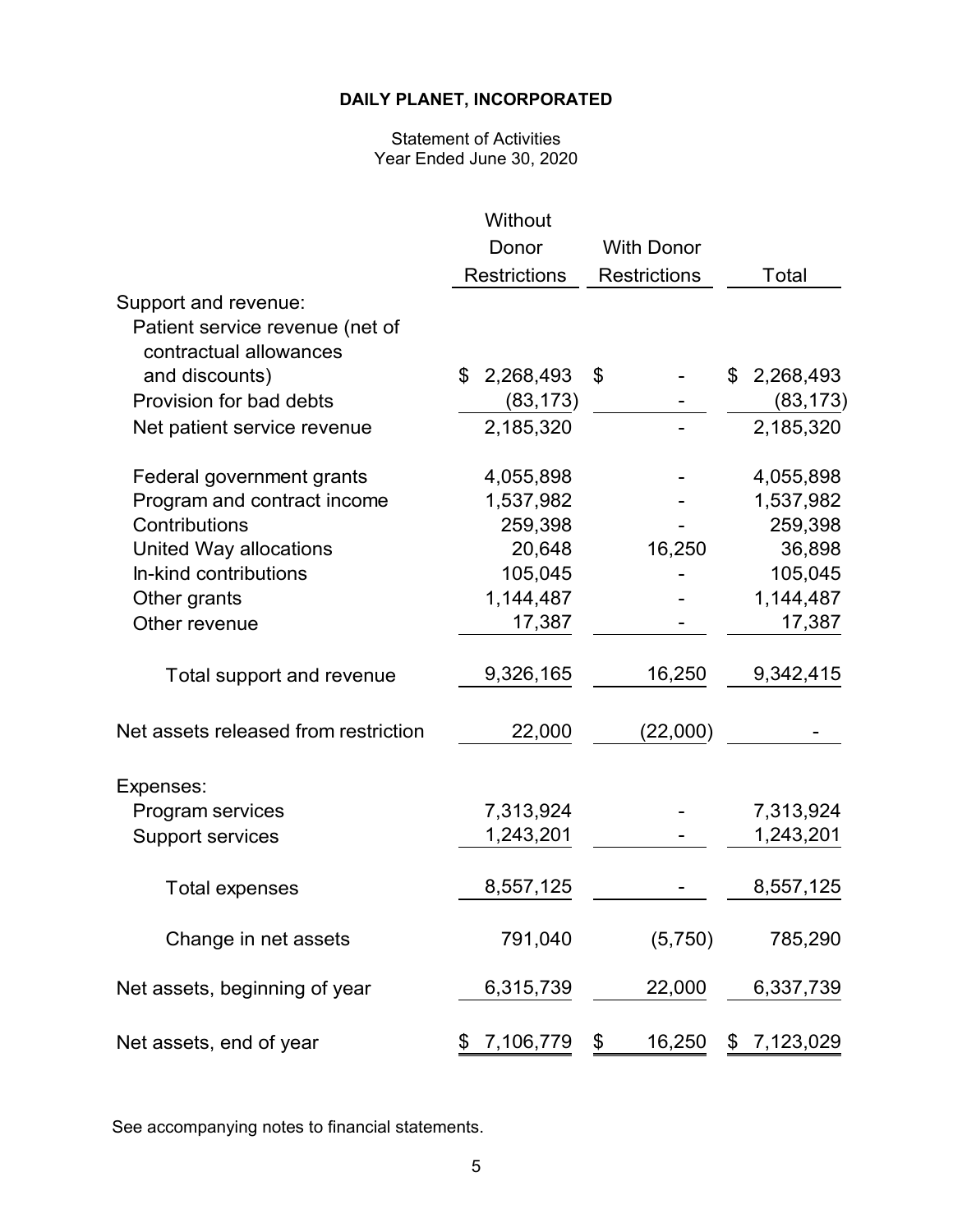## Statement of Activities Year Ended June 30, 2020

|                                                           | Without             |                     |                 |  |  |
|-----------------------------------------------------------|---------------------|---------------------|-----------------|--|--|
|                                                           | Donor               | <b>With Donor</b>   |                 |  |  |
|                                                           | <b>Restrictions</b> | <b>Restrictions</b> | Total           |  |  |
| Support and revenue:                                      |                     |                     |                 |  |  |
| Patient service revenue (net of<br>contractual allowances |                     |                     |                 |  |  |
| and discounts)                                            | \$<br>2,268,493     | \$                  | 2,268,493<br>\$ |  |  |
| Provision for bad debts                                   | (83, 173)           |                     | (83, 173)       |  |  |
| Net patient service revenue                               | 2,185,320           |                     | 2,185,320       |  |  |
| Federal government grants                                 | 4,055,898           |                     | 4,055,898       |  |  |
| Program and contract income                               | 1,537,982           |                     | 1,537,982       |  |  |
| Contributions                                             | 259,398             |                     | 259,398         |  |  |
| United Way allocations                                    | 20,648              | 16,250              | 36,898          |  |  |
| In-kind contributions                                     | 105,045             |                     | 105,045         |  |  |
| Other grants                                              | 1,144,487           |                     | 1,144,487       |  |  |
| Other revenue                                             | 17,387              |                     | 17,387          |  |  |
| Total support and revenue                                 | 9,326,165           | 16,250              | 9,342,415       |  |  |
| Net assets released from restriction                      | 22,000              | (22,000)            |                 |  |  |
| Expenses:                                                 |                     |                     |                 |  |  |
| Program services                                          | 7,313,924           |                     | 7,313,924       |  |  |
| <b>Support services</b>                                   | 1,243,201           |                     | 1,243,201       |  |  |
| <b>Total expenses</b>                                     | 8,557,125           |                     | 8,557,125       |  |  |
| Change in net assets                                      | 791,040             | (5,750)             | 785,290         |  |  |
| Net assets, beginning of year                             | 6,315,739           | 22,000              | 6,337,739       |  |  |
| Net assets, end of year                                   | 7,106,779           | 16,250<br>\$        | \$<br>7,123,029 |  |  |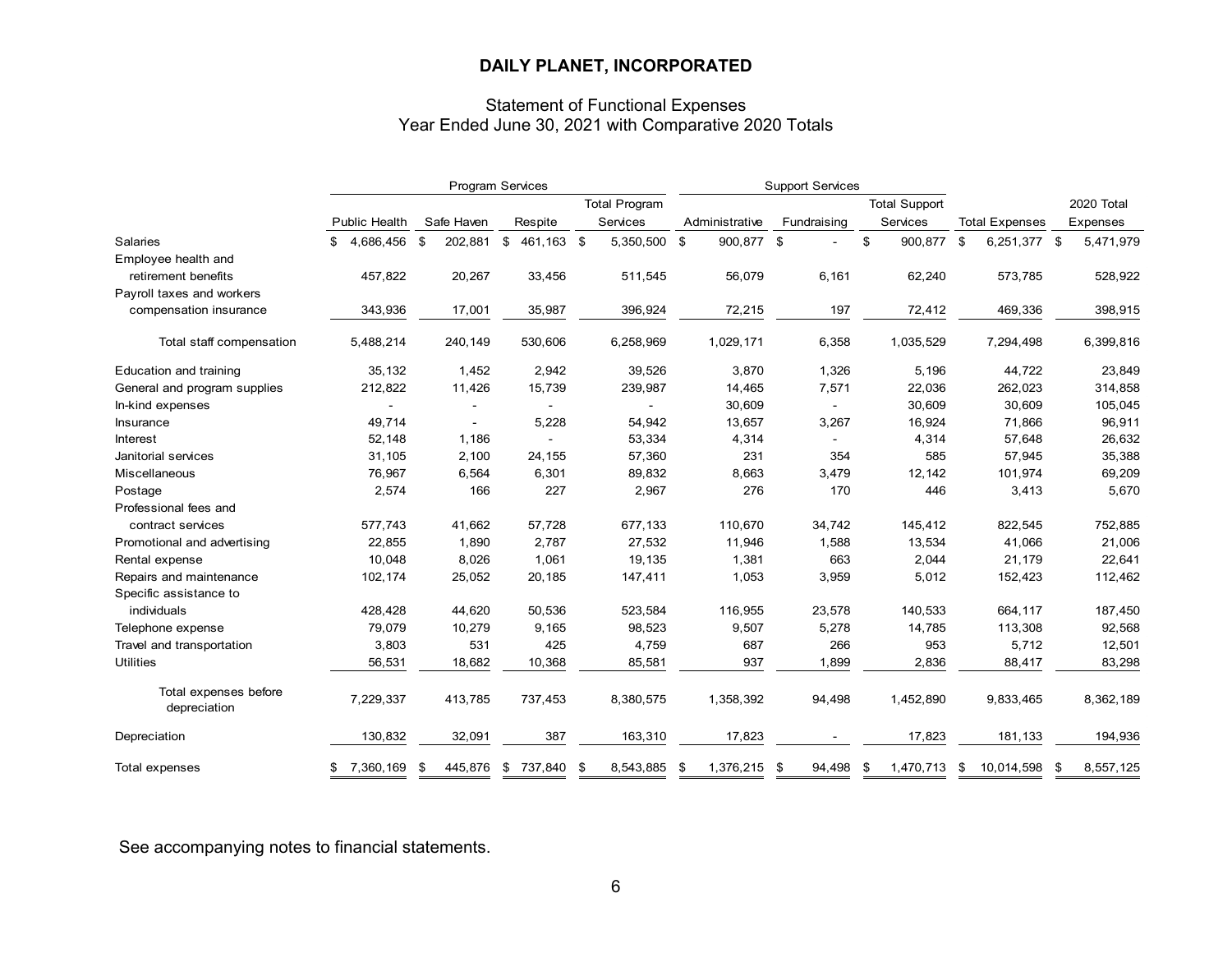## Statement of Functional Expenses Year Ended June 30, 2021 with Comparative 2020 Totals

|                                       |                 |                | Program Services |                      |                 | <b>Support Services</b> |                 |                       |                 |
|---------------------------------------|-----------------|----------------|------------------|----------------------|-----------------|-------------------------|-----------------|-----------------------|-----------------|
|                                       |                 |                |                  | <b>Total Program</b> |                 |                         |                 | 2020 Total            |                 |
|                                       | Public Health   | Safe Haven     | Respite          | Services             | Administrative  | Fundraising             | Services        | <b>Total Expenses</b> | Expenses        |
| Salaries                              | 4,686,456<br>\$ | 202,881<br>-\$ | 461,163 \$<br>\$ | 5,350,500 \$         | 900,877 \$      |                         | 900,877<br>\$   | \$<br>6,251,377 \$    | 5,471,979       |
| Employee health and                   |                 |                |                  |                      |                 |                         |                 |                       |                 |
| retirement benefits                   | 457,822         | 20,267         | 33,456           | 511,545              | 56,079          | 6,161                   | 62,240          | 573,785               | 528,922         |
| Payroll taxes and workers             |                 |                |                  |                      |                 |                         |                 |                       |                 |
| compensation insurance                | 343,936         | 17,001         | 35,987           | 396,924              | 72,215          | 197                     | 72,412          | 469,336               | 398,915         |
| Total staff compensation              | 5,488,214       | 240,149        | 530,606          | 6,258,969            | 1,029,171       | 6,358                   | 1,035,529       | 7,294,498             | 6,399,816       |
| Education and training                | 35,132          | 1,452          | 2,942            | 39,526               | 3,870           | 1,326                   | 5,196           | 44,722                | 23,849          |
| General and program supplies          | 212,822         | 11,426         | 15,739           | 239,987              | 14,465          | 7,571                   | 22,036          | 262,023               | 314,858         |
| In-kind expenses                      |                 |                |                  |                      | 30,609          |                         | 30,609          | 30,609                | 105,045         |
| Insurance                             | 49,714          | $\blacksquare$ | 5,228            | 54,942               | 13,657          | 3,267                   | 16,924          | 71,866                | 96,911          |
| Interest                              | 52,148          | 1,186          |                  | 53,334               | 4,314           |                         | 4,314           | 57,648                | 26,632          |
| Janitorial services                   | 31,105          | 2,100          | 24,155           | 57,360               | 231             | 354                     | 585             | 57,945                | 35,388          |
| Miscellaneous                         | 76,967          | 6,564          | 6,301            | 89,832               | 8,663           | 3,479                   | 12,142          | 101,974               | 69,209          |
| Postage                               | 2,574           | 166            | 227              | 2,967                | 276             | 170                     | 446             | 3,413                 | 5,670           |
| Professional fees and                 |                 |                |                  |                      |                 |                         |                 |                       |                 |
| contract services                     | 577,743         | 41,662         | 57,728           | 677,133              | 110,670         | 34,742                  | 145,412         | 822,545               | 752,885         |
| Promotional and advertising           | 22,855          | 1,890          | 2,787            | 27,532               | 11,946          | 1,588                   | 13,534          | 41,066                | 21,006          |
| Rental expense                        | 10,048          | 8,026          | 1,061            | 19,135               | 1,381           | 663                     | 2,044           | 21,179                | 22,641          |
| Repairs and maintenance               | 102,174         | 25,052         | 20,185           | 147,411              | 1,053           | 3,959                   | 5,012           | 152,423               | 112,462         |
| Specific assistance to                |                 |                |                  |                      |                 |                         |                 |                       |                 |
| individuals                           | 428,428         | 44,620         | 50,536           | 523,584              | 116,955         | 23,578                  | 140,533         | 664,117               | 187,450         |
| Telephone expense                     | 79,079          | 10,279         | 9,165            | 98,523               | 9,507           | 5,278                   | 14,785          | 113,308               | 92,568          |
| Travel and transportation             | 3,803           | 531            | 425              | 4,759                | 687             | 266                     | 953             | 5,712                 | 12,501          |
| <b>Utilities</b>                      | 56,531          | 18,682         | 10,368           | 85,581               | 937             | 1,899                   | 2,836           | 88,417                | 83,298          |
| Total expenses before<br>depreciation | 7,229,337       | 413,785        | 737,453          | 8,380,575            | 1,358,392       | 94,498                  | 1,452,890       | 9,833,465             | 8,362,189       |
| Depreciation                          | 130,832         | 32,091         | 387              | 163,310              | 17,823          |                         | 17,823          | 181,133               | 194,936         |
| Total expenses                        | 7,360,169<br>\$ | 445,876<br>-\$ | \$737,840        | 8,543,885<br>\$      | 1,376,215<br>\$ | 94,498<br>\$            | 1,470,713<br>\$ | \$<br>10,014,598      | 8,557,125<br>\$ |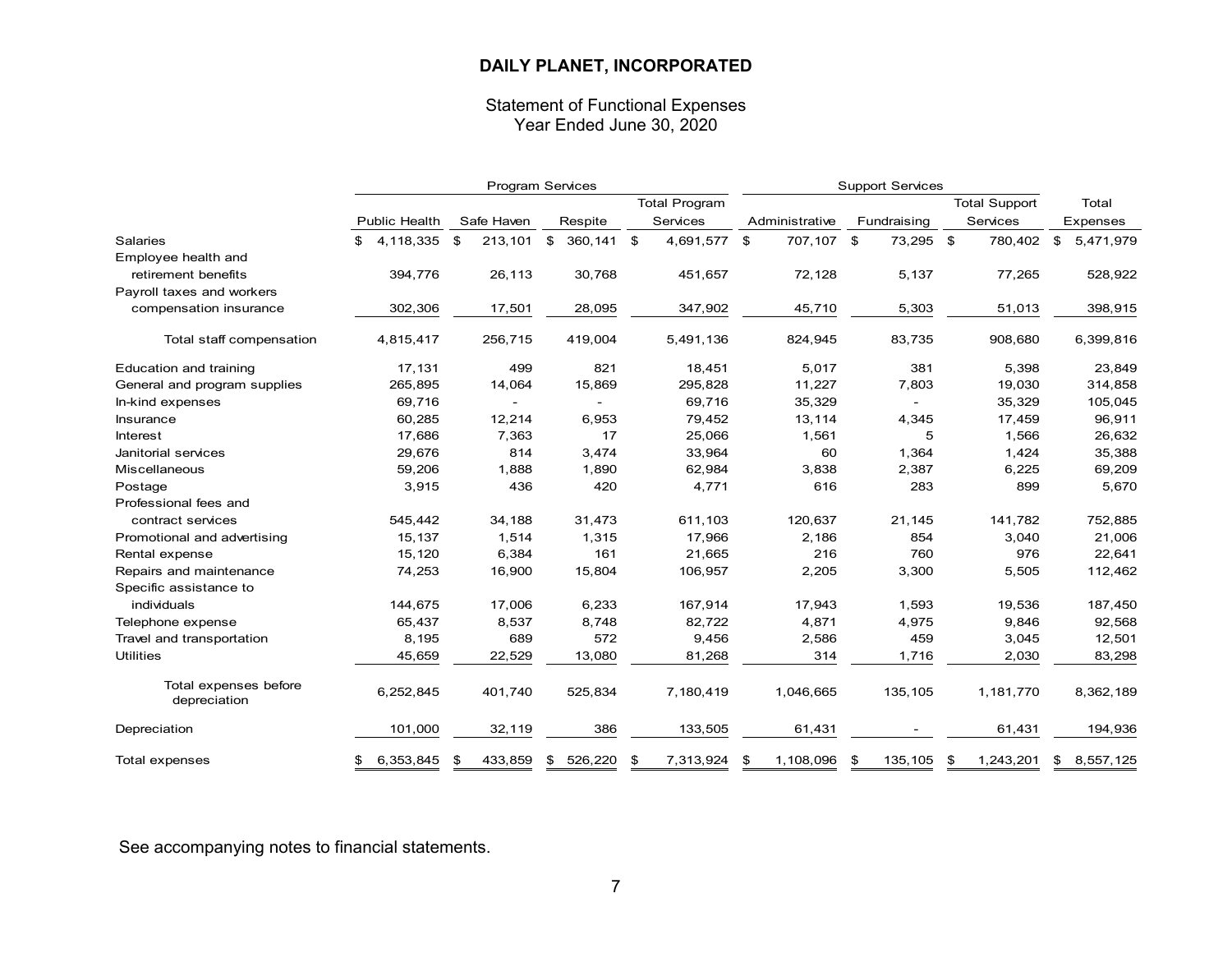#### Statement of Functional Expenses Year Ended June 30, 2020

|                                       | <b>Program Services</b> |       |               |    |            |    | <b>Support Services</b> |    |                |    |             |    |                      |    |                 |
|---------------------------------------|-------------------------|-------|---------------|----|------------|----|-------------------------|----|----------------|----|-------------|----|----------------------|----|-----------------|
|                                       |                         |       |               |    |            |    | <b>Total Program</b>    |    |                |    |             |    | <b>Total Support</b> |    | Total           |
|                                       | <b>Public Health</b>    |       | Safe Haven    |    | Respite    |    | Services                |    | Administrative |    | Fundraising |    | Services             |    | <b>Expenses</b> |
| Salaries                              | 4,118,335<br>\$         |       | 213,101<br>\$ | \$ | 360,141 \$ |    | 4,691,577 \$            |    | 707,107 \$     |    | 73,295 \$   |    | 780,402              | \$ | 5,471,979       |
| Employee health and                   |                         |       |               |    |            |    |                         |    |                |    |             |    |                      |    |                 |
| retirement benefits                   | 394,776                 |       | 26,113        |    | 30,768     |    | 451,657                 |    | 72,128         |    | 5,137       |    | 77,265               |    | 528,922         |
| Payroll taxes and workers             |                         |       |               |    |            |    |                         |    |                |    |             |    |                      |    |                 |
| compensation insurance                | 302,306                 |       | 17,501        |    | 28,095     |    | 347,902                 |    | 45,710         |    | 5,303       |    | 51,013               |    | 398,915         |
| Total staff compensation              | 4,815,417               |       | 256,715       |    | 419,004    |    | 5,491,136               |    | 824,945        |    | 83,735      |    | 908,680              |    | 6,399,816       |
| <b>Education and training</b>         | 17,131                  |       | 499           |    | 821        |    | 18,451                  |    | 5,017          |    | 381         |    | 5,398                |    | 23,849          |
| General and program supplies          | 265,895                 |       | 14,064        |    | 15,869     |    | 295,828                 |    | 11,227         |    | 7,803       |    | 19,030               |    | 314,858         |
| In-kind expenses                      | 69,716                  |       |               |    |            |    | 69,716                  |    | 35,329         |    | Ξ.          |    | 35,329               |    | 105,045         |
| Insurance                             | 60,285                  |       | 12,214        |    | 6,953      |    | 79,452                  |    | 13,114         |    | 4,345       |    | 17,459               |    | 96,911          |
| Interest                              | 17,686                  |       | 7,363         |    | 17         |    | 25,066                  |    | 1,561          |    | 5           |    | 1,566                |    | 26,632          |
| Janitorial services                   | 29,676                  |       | 814           |    | 3,474      |    | 33,964                  |    | 60             |    | 1,364       |    | 1,424                |    | 35,388          |
| Miscellaneous                         | 59,206                  |       | 1,888         |    | 1,890      |    | 62,984                  |    | 3,838          |    | 2,387       |    | 6,225                |    | 69,209          |
| Postage                               |                         | 3,915 | 436           |    | 420        |    | 4,771                   |    | 616            |    | 283         |    | 899                  |    | 5,670           |
| Professional fees and                 |                         |       |               |    |            |    |                         |    |                |    |             |    |                      |    |                 |
| contract services                     | 545,442                 |       | 34,188        |    | 31,473     |    | 611,103                 |    | 120,637        |    | 21,145      |    | 141,782              |    | 752,885         |
| Promotional and advertising           | 15,137                  |       | 1,514         |    | 1,315      |    | 17,966                  |    | 2,186          |    | 854         |    | 3,040                |    | 21,006          |
| Rental expense                        | 15,120                  |       | 6,384         |    | 161        |    | 21,665                  |    | 216            |    | 760         |    | 976                  |    | 22,641          |
| Repairs and maintenance               | 74,253                  |       | 16,900        |    | 15,804     |    | 106,957                 |    | 2,205          |    | 3,300       |    | 5,505                |    | 112,462         |
| Specific assistance to                |                         |       |               |    |            |    |                         |    |                |    |             |    |                      |    |                 |
| individuals                           | 144,675                 |       | 17,006        |    | 6,233      |    | 167,914                 |    | 17,943         |    | 1,593       |    | 19,536               |    | 187,450         |
| Telephone expense                     | 65,437                  |       | 8,537         |    | 8,748      |    | 82,722                  |    | 4,871          |    | 4,975       |    | 9,846                |    | 92,568          |
| Travel and transportation             | 8,195                   |       | 689           |    | 572        |    | 9,456                   |    | 2,586          |    | 459         |    | 3,045                |    | 12,501          |
| <b>Utilities</b>                      | 45,659                  |       | 22,529        |    | 13,080     |    | 81,268                  |    | 314            |    | 1,716       |    | 2,030                |    | 83,298          |
| Total expenses before<br>depreciation | 6,252,845               |       | 401,740       |    | 525,834    |    | 7,180,419               |    | 1.046.665      |    | 135,105     |    | 1,181,770            |    | 8,362,189       |
| Depreciation                          | 101,000                 |       | 32,119        |    | 386        |    | 133,505                 |    | 61,431         |    |             |    | 61,431               |    | 194,936         |
| Total expenses                        | 6,353,845<br>\$         |       | 433,859<br>\$ | \$ | 526,220    | \$ | 7,313,924               | \$ | 1,108,096      | \$ | 135,105     | \$ | 1,243,201            | \$ | 8,557,125       |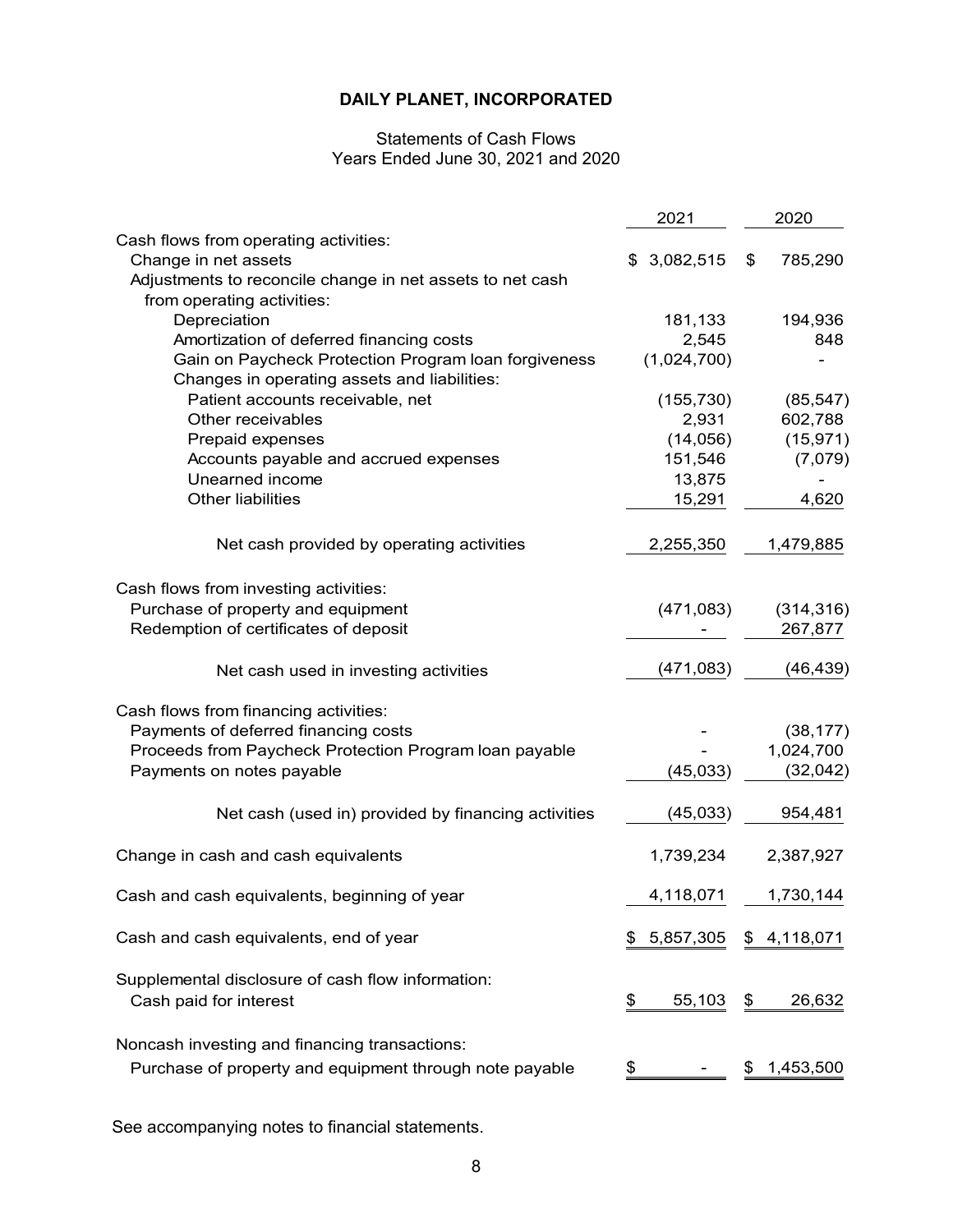## Statements of Cash Flows Years Ended June 30, 2021 and 2020

|                                                                                                      | 2021                               | 2020            |
|------------------------------------------------------------------------------------------------------|------------------------------------|-----------------|
| Cash flows from operating activities:                                                                |                                    |                 |
| Change in net assets                                                                                 | 3,082,515                          | \$<br>785,290   |
| Adjustments to reconcile change in net assets to net cash                                            |                                    |                 |
| from operating activities:                                                                           |                                    |                 |
| Depreciation                                                                                         | 181,133                            | 194,936         |
| Amortization of deferred financing costs                                                             | 2,545                              | 848             |
| Gain on Paycheck Protection Program loan forgiveness<br>Changes in operating assets and liabilities: | (1,024,700)                        |                 |
| Patient accounts receivable, net                                                                     | (155, 730)                         | (85, 547)       |
| Other receivables                                                                                    | 2,931                              | 602,788         |
| Prepaid expenses                                                                                     | (14,056)                           | (15, 971)       |
| Accounts payable and accrued expenses                                                                | 151,546                            | (7,079)         |
| Unearned income                                                                                      | 13,875                             |                 |
| <b>Other liabilities</b>                                                                             | 15,291                             | 4,620           |
| Net cash provided by operating activities                                                            | 2,255,350                          | 1,479,885       |
| Cash flows from investing activities:                                                                |                                    |                 |
| Purchase of property and equipment                                                                   | (471, 083)                         | (314, 316)      |
| Redemption of certificates of deposit                                                                |                                    | 267,877         |
| Net cash used in investing activities                                                                | (471,083)                          | (46, 439)       |
| Cash flows from financing activities:                                                                |                                    |                 |
| Payments of deferred financing costs                                                                 |                                    | (38, 177)       |
| Proceeds from Paycheck Protection Program loan payable                                               |                                    | 1,024,700       |
| Payments on notes payable                                                                            | (45,033)                           | (32, 042)       |
| Net cash (used in) provided by financing activities                                                  | (45,033)                           | 954,481         |
| Change in cash and cash equivalents                                                                  | 1,739,234                          | 2,387,927       |
|                                                                                                      | 4,118,071                          | 1,730,144       |
| Cash and cash equivalents, beginning of year                                                         |                                    |                 |
| Cash and cash equivalents, end of year                                                               | 5,857,305                          | \$4,118,071     |
| Supplemental disclosure of cash flow information:                                                    |                                    |                 |
| Cash paid for interest                                                                               | $\overline{\mathcal{F}}$<br>55,103 | \$<br>26,632    |
| Noncash investing and financing transactions:                                                        |                                    |                 |
| Purchase of property and equipment through note payable                                              | \$                                 | 1,453,500<br>\$ |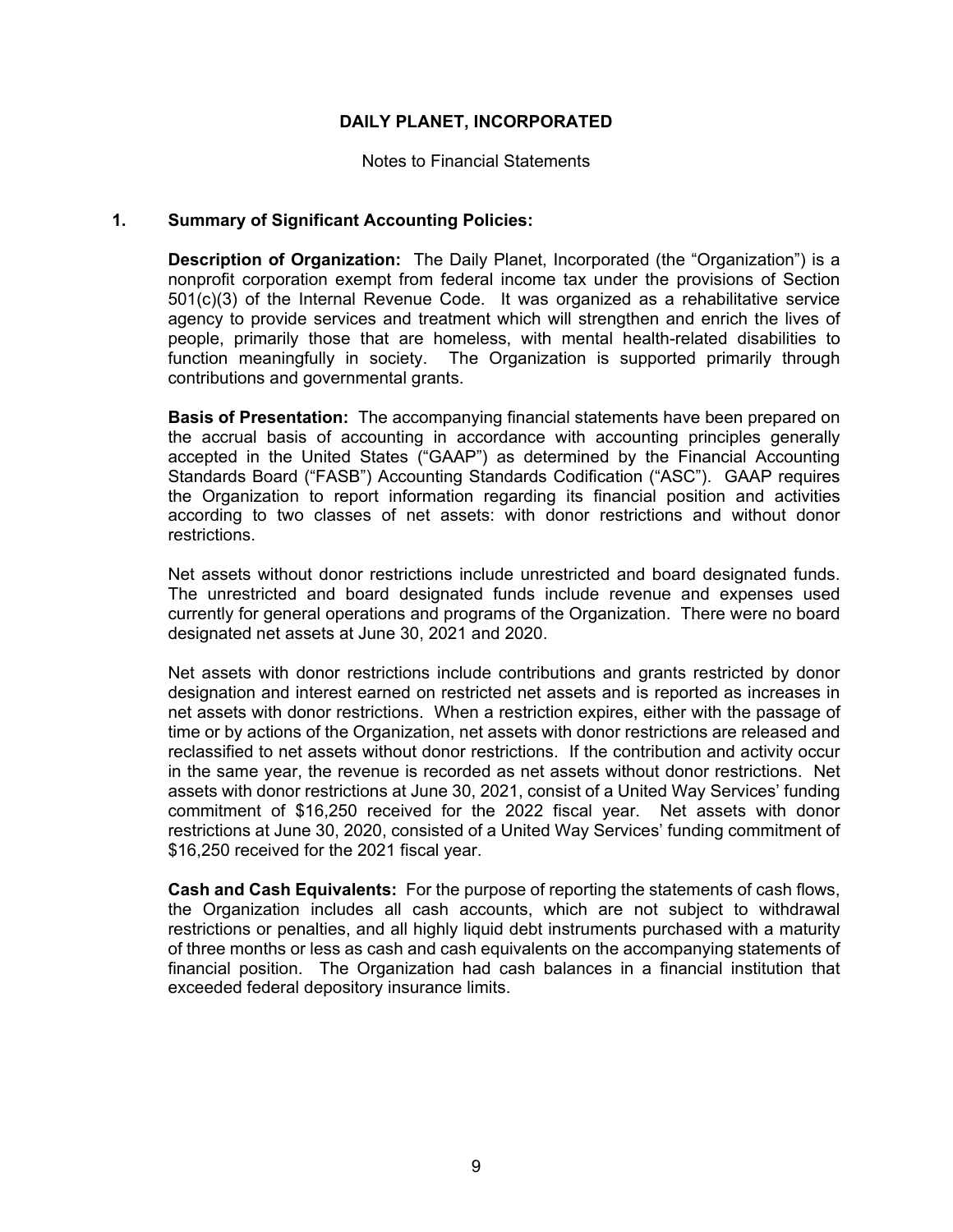Notes to Financial Statements

#### **1. Summary of Significant Accounting Policies:**

**Description of Organization:** The Daily Planet, Incorporated (the "Organization") is a nonprofit corporation exempt from federal income tax under the provisions of Section 501(c)(3) of the Internal Revenue Code. It was organized as a rehabilitative service agency to provide services and treatment which will strengthen and enrich the lives of people, primarily those that are homeless, with mental health-related disabilities to function meaningfully in society. The Organization is supported primarily through contributions and governmental grants.

**Basis of Presentation:** The accompanying financial statements have been prepared on the accrual basis of accounting in accordance with accounting principles generally accepted in the United States ("GAAP") as determined by the Financial Accounting Standards Board ("FASB") Accounting Standards Codification ("ASC"). GAAP requires the Organization to report information regarding its financial position and activities according to two classes of net assets: with donor restrictions and without donor restrictions.

Net assets without donor restrictions include unrestricted and board designated funds. The unrestricted and board designated funds include revenue and expenses used currently for general operations and programs of the Organization. There were no board designated net assets at June 30, 2021 and 2020.

Net assets with donor restrictions include contributions and grants restricted by donor designation and interest earned on restricted net assets and is reported as increases in net assets with donor restrictions. When a restriction expires, either with the passage of time or by actions of the Organization, net assets with donor restrictions are released and reclassified to net assets without donor restrictions. If the contribution and activity occur in the same year, the revenue is recorded as net assets without donor restrictions. Net assets with donor restrictions at June 30, 2021, consist of a United Way Services' funding commitment of \$16,250 received for the 2022 fiscal year. Net assets with donor restrictions at June 30, 2020, consisted of a United Way Services' funding commitment of \$16,250 received for the 2021 fiscal year.

**Cash and Cash Equivalents:** For the purpose of reporting the statements of cash flows, the Organization includes all cash accounts, which are not subject to withdrawal restrictions or penalties, and all highly liquid debt instruments purchased with a maturity of three months or less as cash and cash equivalents on the accompanying statements of financial position. The Organization had cash balances in a financial institution that exceeded federal depository insurance limits.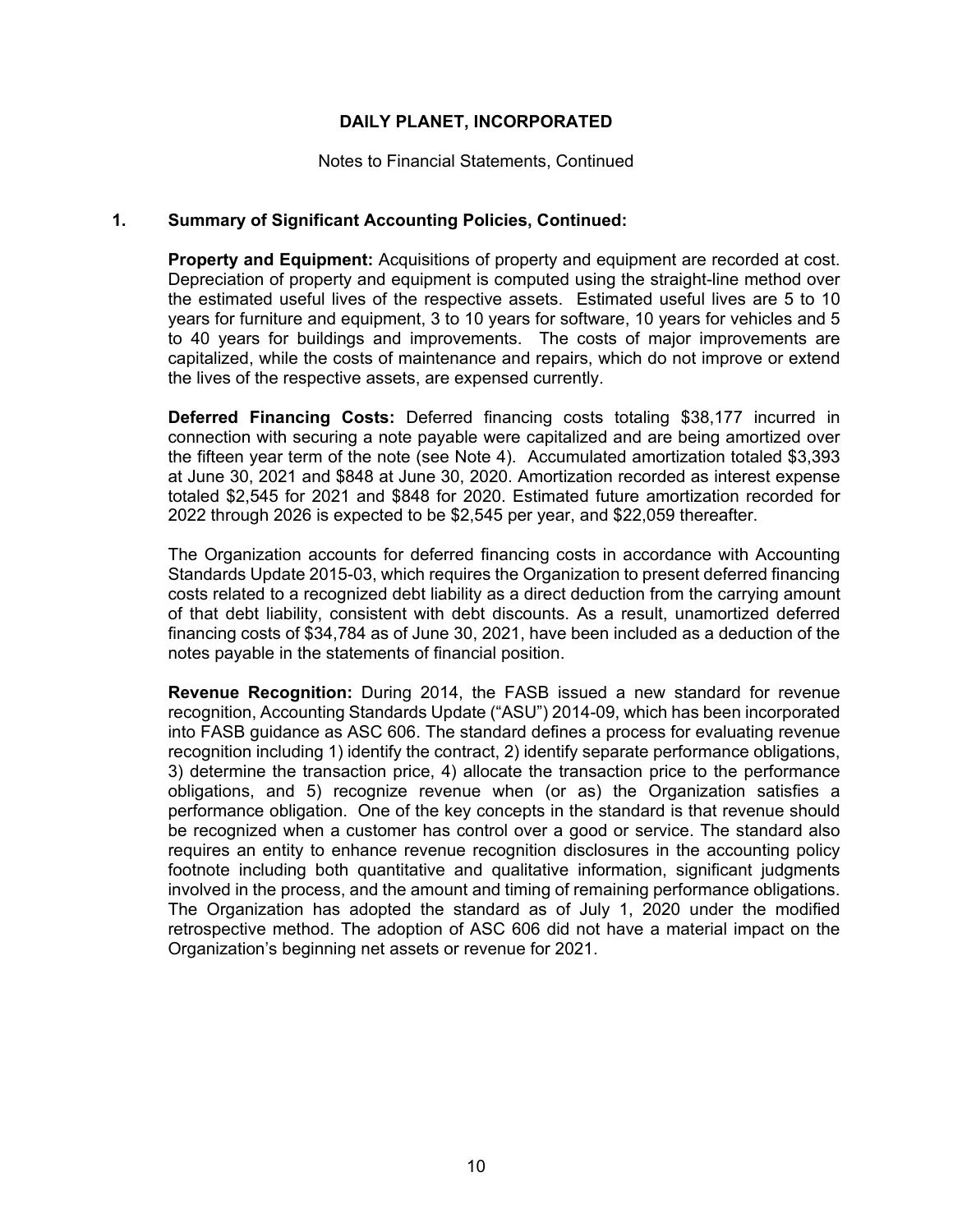Notes to Financial Statements, Continued

#### **1. Summary of Significant Accounting Policies, Continued:**

**Property and Equipment:** Acquisitions of property and equipment are recorded at cost. Depreciation of property and equipment is computed using the straight-line method over the estimated useful lives of the respective assets. Estimated useful lives are 5 to 10 years for furniture and equipment, 3 to 10 years for software, 10 years for vehicles and 5 to 40 years for buildings and improvements. The costs of major improvements are capitalized, while the costs of maintenance and repairs, which do not improve or extend the lives of the respective assets, are expensed currently.

**Deferred Financing Costs:** Deferred financing costs totaling \$38,177 incurred in connection with securing a note payable were capitalized and are being amortized over the fifteen year term of the note (see Note 4). Accumulated amortization totaled \$3,393 at June 30, 2021 and \$848 at June 30, 2020. Amortization recorded as interest expense totaled \$2,545 for 2021 and \$848 for 2020. Estimated future amortization recorded for 2022 through 2026 is expected to be \$2,545 per year, and \$22,059 thereafter.

The Organization accounts for deferred financing costs in accordance with Accounting Standards Update 2015-03, which requires the Organization to present deferred financing costs related to a recognized debt liability as a direct deduction from the carrying amount of that debt liability, consistent with debt discounts. As a result, unamortized deferred financing costs of \$34,784 as of June 30, 2021, have been included as a deduction of the notes payable in the statements of financial position.

**Revenue Recognition:** During 2014, the FASB issued a new standard for revenue recognition, Accounting Standards Update ("ASU") 2014-09, which has been incorporated into FASB guidance as ASC 606. The standard defines a process for evaluating revenue recognition including 1) identify the contract, 2) identify separate performance obligations, 3) determine the transaction price, 4) allocate the transaction price to the performance obligations, and 5) recognize revenue when (or as) the Organization satisfies a performance obligation. One of the key concepts in the standard is that revenue should be recognized when a customer has control over a good or service. The standard also requires an entity to enhance revenue recognition disclosures in the accounting policy footnote including both quantitative and qualitative information, significant judgments involved in the process, and the amount and timing of remaining performance obligations. The Organization has adopted the standard as of July 1, 2020 under the modified retrospective method. The adoption of ASC 606 did not have a material impact on the Organization's beginning net assets or revenue for 2021.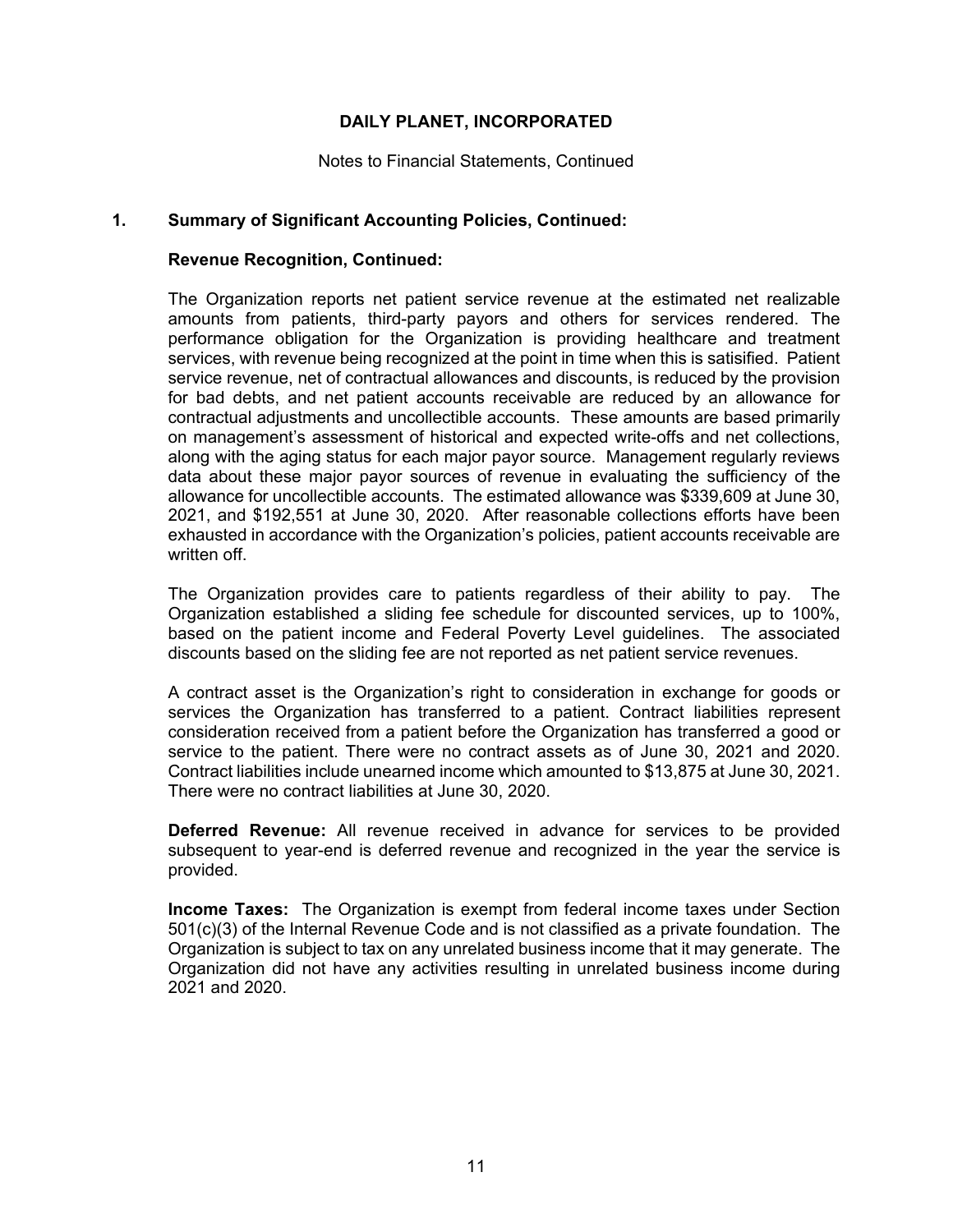Notes to Financial Statements, Continued

#### **1. Summary of Significant Accounting Policies, Continued:**

#### **Revenue Recognition, Continued:**

The Organization reports net patient service revenue at the estimated net realizable amounts from patients, third-party payors and others for services rendered. The performance obligation for the Organization is providing healthcare and treatment services, with revenue being recognized at the point in time when this is satisified. Patient service revenue, net of contractual allowances and discounts, is reduced by the provision for bad debts, and net patient accounts receivable are reduced by an allowance for contractual adjustments and uncollectible accounts. These amounts are based primarily on management's assessment of historical and expected write-offs and net collections, along with the aging status for each major payor source. Management regularly reviews data about these major payor sources of revenue in evaluating the sufficiency of the allowance for uncollectible accounts. The estimated allowance was \$339,609 at June 30, 2021, and \$192,551 at June 30, 2020. After reasonable collections efforts have been exhausted in accordance with the Organization's policies, patient accounts receivable are written off.

The Organization provides care to patients regardless of their ability to pay. The Organization established a sliding fee schedule for discounted services, up to 100%, based on the patient income and Federal Poverty Level guidelines. The associated discounts based on the sliding fee are not reported as net patient service revenues.

A contract asset is the Organization's right to consideration in exchange for goods or services the Organization has transferred to a patient. Contract liabilities represent consideration received from a patient before the Organization has transferred a good or service to the patient. There were no contract assets as of June 30, 2021 and 2020. Contract liabilities include unearned income which amounted to \$13,875 at June 30, 2021. There were no contract liabilities at June 30, 2020.

**Deferred Revenue:** All revenue received in advance for services to be provided subsequent to year-end is deferred revenue and recognized in the year the service is provided.

**Income Taxes:** The Organization is exempt from federal income taxes under Section 501(c)(3) of the Internal Revenue Code and is not classified as a private foundation. The Organization is subject to tax on any unrelated business income that it may generate. The Organization did not have any activities resulting in unrelated business income during 2021 and 2020.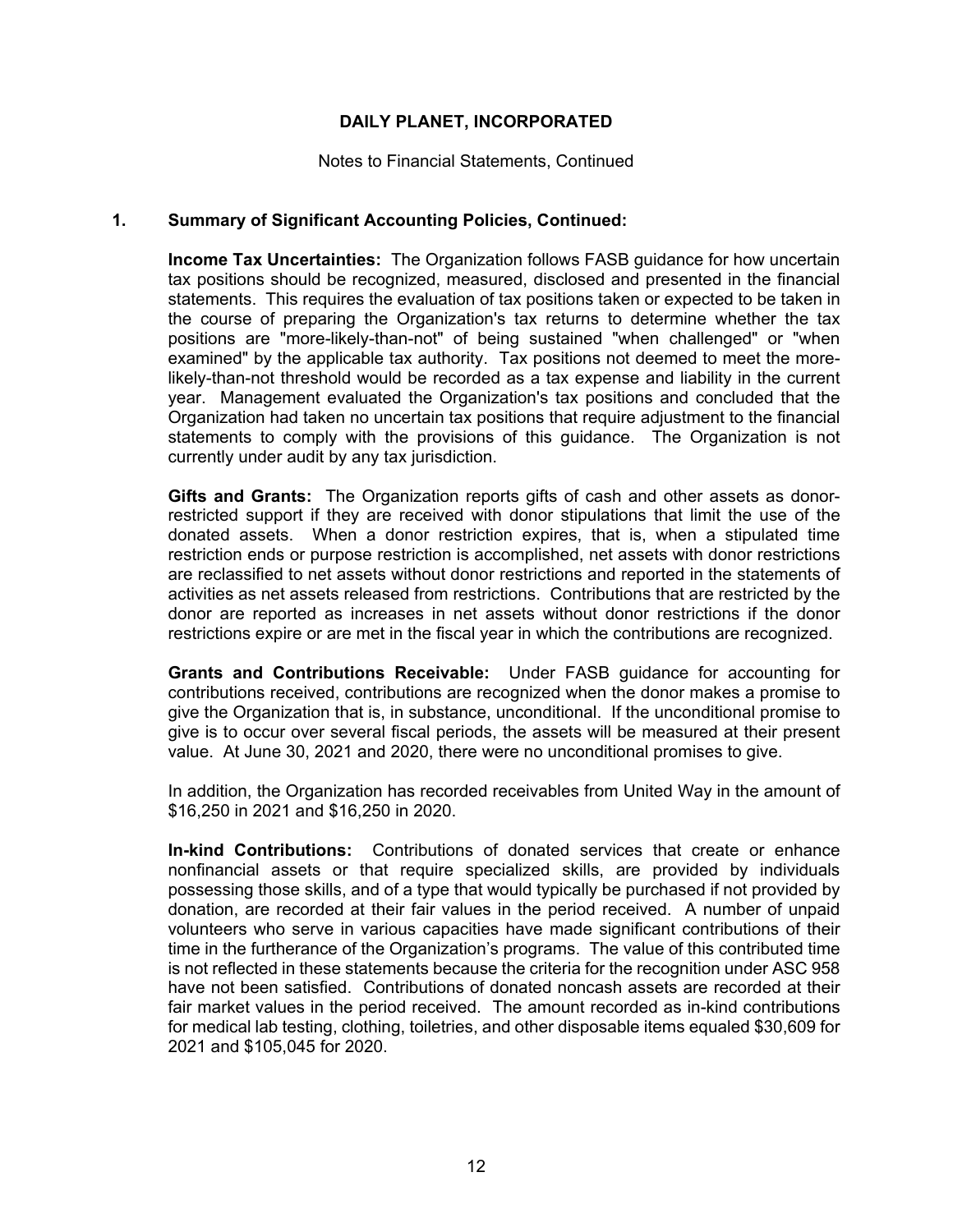Notes to Financial Statements, Continued

#### **1. Summary of Significant Accounting Policies, Continued:**

**Income Tax Uncertainties:** The Organization follows FASB guidance for how uncertain tax positions should be recognized, measured, disclosed and presented in the financial statements. This requires the evaluation of tax positions taken or expected to be taken in the course of preparing the Organization's tax returns to determine whether the tax positions are "more-likely-than-not" of being sustained "when challenged" or "when examined" by the applicable tax authority. Tax positions not deemed to meet the morelikely-than-not threshold would be recorded as a tax expense and liability in the current year. Management evaluated the Organization's tax positions and concluded that the Organization had taken no uncertain tax positions that require adjustment to the financial statements to comply with the provisions of this guidance. The Organization is not currently under audit by any tax jurisdiction.

**Gifts and Grants:** The Organization reports gifts of cash and other assets as donorrestricted support if they are received with donor stipulations that limit the use of the donated assets. When a donor restriction expires, that is, when a stipulated time restriction ends or purpose restriction is accomplished, net assets with donor restrictions are reclassified to net assets without donor restrictions and reported in the statements of activities as net assets released from restrictions. Contributions that are restricted by the donor are reported as increases in net assets without donor restrictions if the donor restrictions expire or are met in the fiscal year in which the contributions are recognized.

**Grants and Contributions Receivable:** Under FASB guidance for accounting for contributions received, contributions are recognized when the donor makes a promise to give the Organization that is, in substance, unconditional. If the unconditional promise to give is to occur over several fiscal periods, the assets will be measured at their present value. At June 30, 2021 and 2020, there were no unconditional promises to give.

In addition, the Organization has recorded receivables from United Way in the amount of \$16,250 in 2021 and \$16,250 in 2020.

**In-kind Contributions:** Contributions of donated services that create or enhance nonfinancial assets or that require specialized skills, are provided by individuals possessing those skills, and of a type that would typically be purchased if not provided by donation, are recorded at their fair values in the period received. A number of unpaid volunteers who serve in various capacities have made significant contributions of their time in the furtherance of the Organization's programs. The value of this contributed time is not reflected in these statements because the criteria for the recognition under ASC 958 have not been satisfied. Contributions of donated noncash assets are recorded at their fair market values in the period received. The amount recorded as in-kind contributions for medical lab testing, clothing, toiletries, and other disposable items equaled \$30,609 for 2021 and \$105,045 for 2020.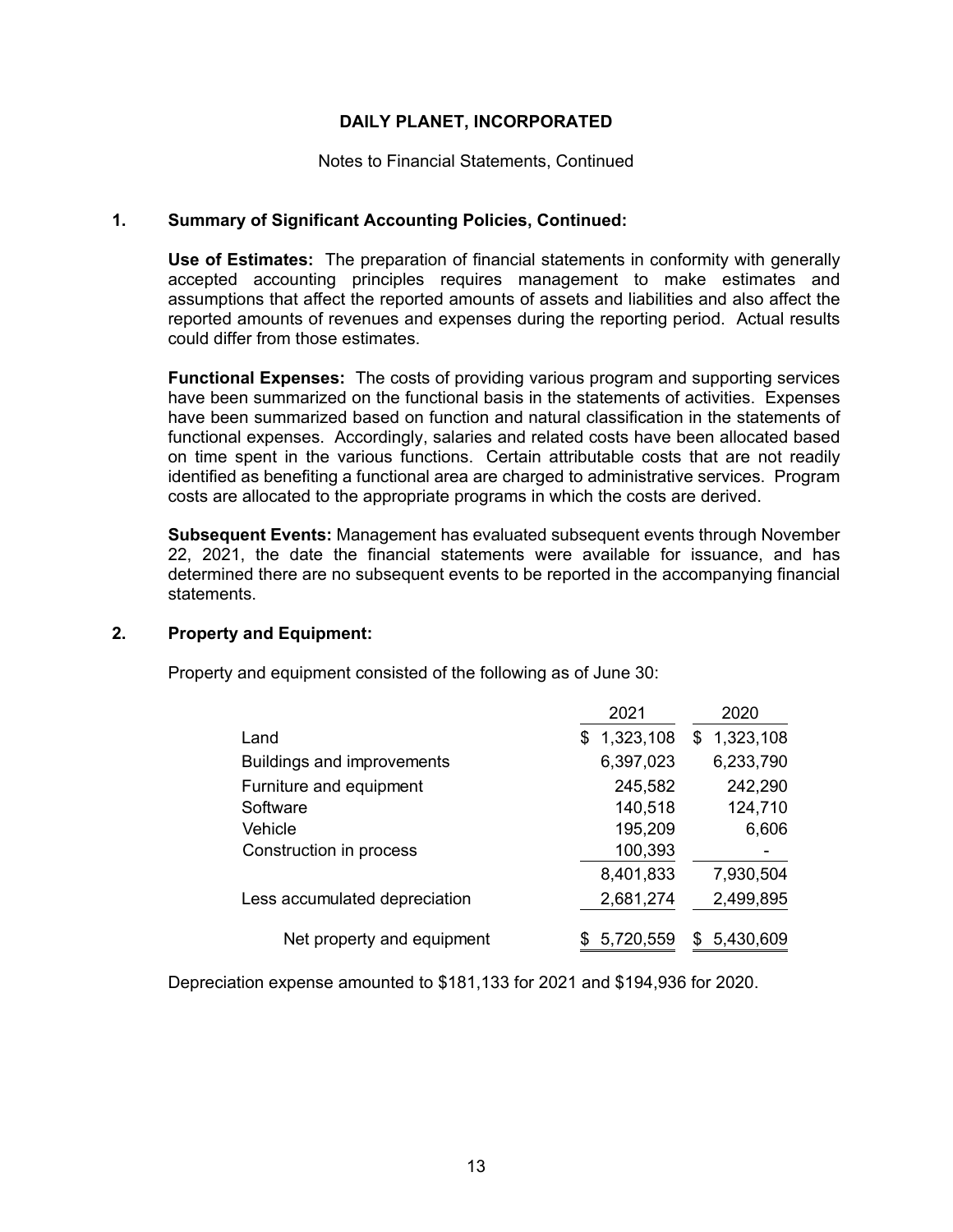Notes to Financial Statements, Continued

#### **1. Summary of Significant Accounting Policies, Continued:**

**Use of Estimates:** The preparation of financial statements in conformity with generally accepted accounting principles requires management to make estimates and assumptions that affect the reported amounts of assets and liabilities and also affect the reported amounts of revenues and expenses during the reporting period. Actual results could differ from those estimates.

**Functional Expenses:** The costs of providing various program and supporting services have been summarized on the functional basis in the statements of activities. Expenses have been summarized based on function and natural classification in the statements of functional expenses. Accordingly, salaries and related costs have been allocated based on time spent in the various functions. Certain attributable costs that are not readily identified as benefiting a functional area are charged to administrative services. Program costs are allocated to the appropriate programs in which the costs are derived.

**Subsequent Events:** Management has evaluated subsequent events through November 22, 2021, the date the financial statements were available for issuance, and has determined there are no subsequent events to be reported in the accompanying financial statements.

### **2. Property and Equipment:**

Property and equipment consisted of the following as of June 30:

|                               | 2021            | 2020             |
|-------------------------------|-----------------|------------------|
| Land                          | 1,323,108<br>S. | 1,323,108<br>\$  |
| Buildings and improvements    | 6,397,023       | 6,233,790        |
| Furniture and equipment       | 245,582         | 242,290          |
| Software                      | 140,518         | 124,710          |
| Vehicle                       | 195,209         | 6,606            |
| Construction in process       | 100,393         |                  |
|                               | 8,401,833       | 7,930,504        |
| Less accumulated depreciation | 2,681,274       | 2,499,895        |
| Net property and equipment    | 5,720,559       | 5,430,609<br>\$. |

Depreciation expense amounted to \$181,133 for 2021 and \$194,936 for 2020.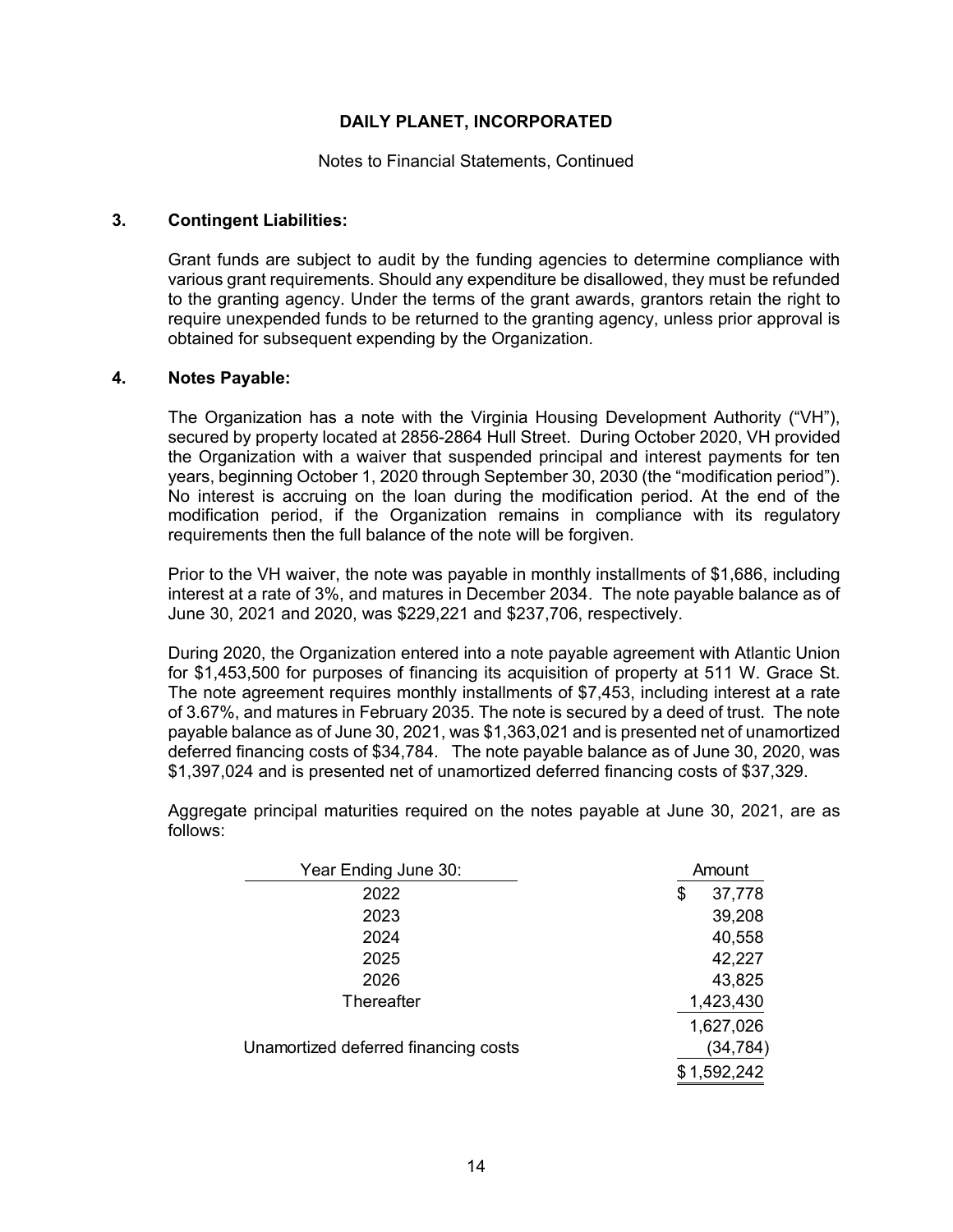Notes to Financial Statements, Continued

#### **3. Contingent Liabilities:**

Grant funds are subject to audit by the funding agencies to determine compliance with various grant requirements. Should any expenditure be disallowed, they must be refunded to the granting agency. Under the terms of the grant awards, grantors retain the right to require unexpended funds to be returned to the granting agency, unless prior approval is obtained for subsequent expending by the Organization.

#### **4. Notes Payable:**

The Organization has a note with the Virginia Housing Development Authority ("VH"), secured by property located at 2856-2864 Hull Street. During October 2020, VH provided the Organization with a waiver that suspended principal and interest payments for ten years, beginning October 1, 2020 through September 30, 2030 (the "modification period"). No interest is accruing on the loan during the modification period. At the end of the modification period, if the Organization remains in compliance with its regulatory requirements then the full balance of the note will be forgiven.

Prior to the VH waiver, the note was payable in monthly installments of \$1,686, including interest at a rate of 3%, and matures in December 2034. The note payable balance as of June 30, 2021 and 2020, was \$229,221 and \$237,706, respectively.

During 2020, the Organization entered into a note payable agreement with Atlantic Union for \$1,453,500 for purposes of financing its acquisition of property at 511 W. Grace St. The note agreement requires monthly installments of \$7,453, including interest at a rate of 3.67%, and matures in February 2035. The note is secured by a deed of trust. The note payable balance as of June 30, 2021, was \$1,363,021 and is presented net of unamortized deferred financing costs of \$34,784. The note payable balance as of June 30, 2020, was \$1,397,024 and is presented net of unamortized deferred financing costs of \$37,329.

Aggregate principal maturities required on the notes payable at June 30, 2021, are as follows:

| Year Ending June 30:                 | Amount       |
|--------------------------------------|--------------|
| 2022                                 | 37,778<br>\$ |
| 2023                                 | 39,208       |
| 2024                                 | 40,558       |
| 2025                                 | 42,227       |
| 2026                                 | 43,825       |
| Thereafter                           | 1,423,430    |
|                                      | 1,627,026    |
| Unamortized deferred financing costs | (34, 784)    |
|                                      | \$1,592,242  |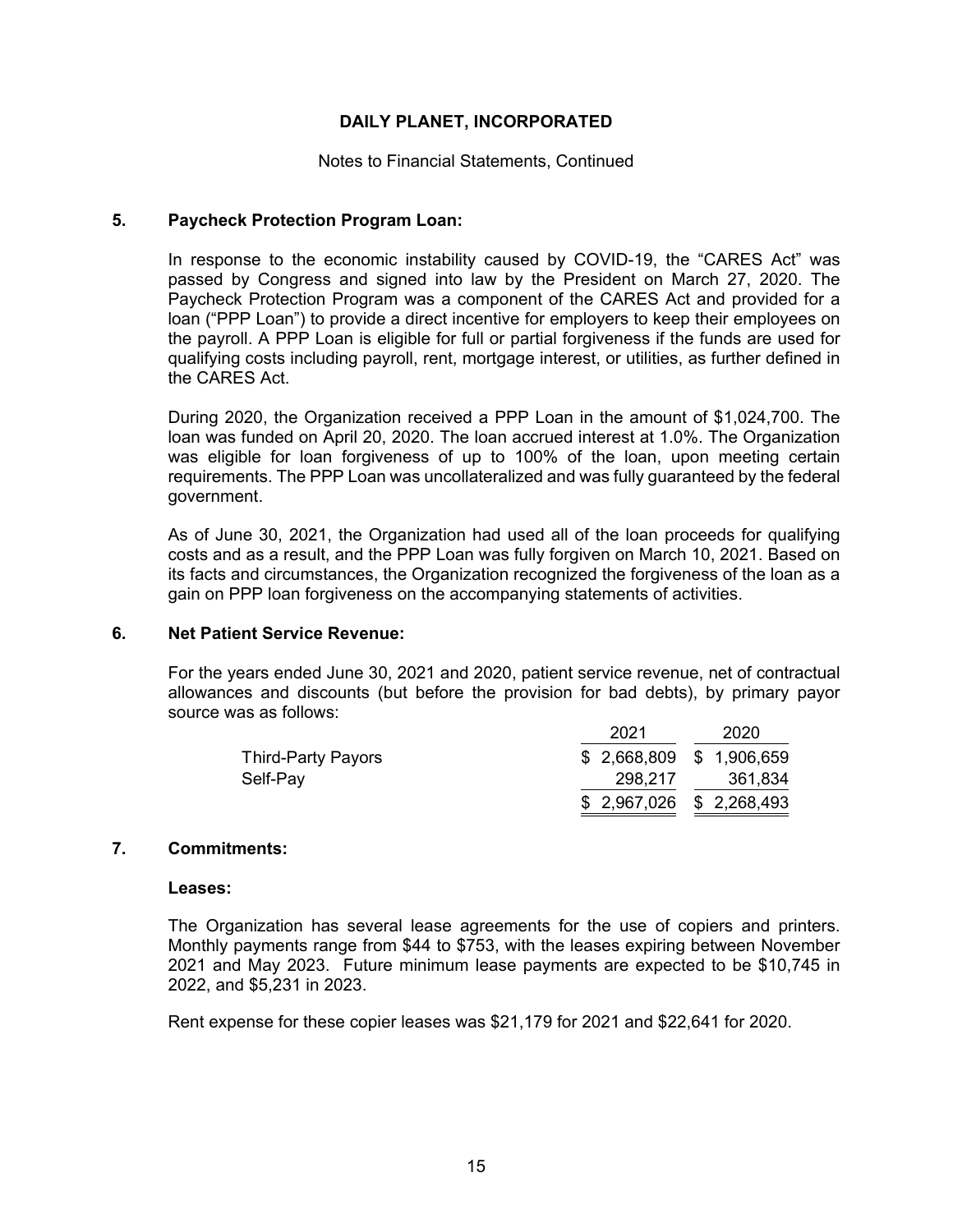Notes to Financial Statements, Continued

#### **5. Paycheck Protection Program Loan:**

In response to the economic instability caused by COVID-19, the "CARES Act" was passed by Congress and signed into law by the President on March 27, 2020. The Paycheck Protection Program was a component of the CARES Act and provided for a loan ("PPP Loan") to provide a direct incentive for employers to keep their employees on the payroll. A PPP Loan is eligible for full or partial forgiveness if the funds are used for qualifying costs including payroll, rent, mortgage interest, or utilities, as further defined in the CARES Act.

During 2020, the Organization received a PPP Loan in the amount of \$1,024,700. The loan was funded on April 20, 2020. The loan accrued interest at 1.0%. The Organization was eligible for loan forgiveness of up to 100% of the loan, upon meeting certain requirements. The PPP Loan was uncollateralized and was fully guaranteed by the federal government.

As of June 30, 2021, the Organization had used all of the loan proceeds for qualifying costs and as a result, and the PPP Loan was fully forgiven on March 10, 2021. Based on its facts and circumstances, the Organization recognized the forgiveness of the loan as a gain on PPP loan forgiveness on the accompanying statements of activities.

#### **6. Net Patient Service Revenue:**

For the years ended June 30, 2021 and 2020, patient service revenue, net of contractual allowances and discounts (but before the provision for bad debts), by primary payor source was as follows:

|                           | 2021    | 2020                      |
|---------------------------|---------|---------------------------|
| <b>Third-Party Payors</b> |         | $$2,668,809$ $$1,906,659$ |
| Self-Pay                  | 298.217 | - 361.834                 |
|                           |         | $$2,967,026$ $$2,268,493$ |

#### **7. Commitments:**

#### **Leases:**

The Organization has several lease agreements for the use of copiers and printers. Monthly payments range from \$44 to \$753, with the leases expiring between November 2021 and May 2023. Future minimum lease payments are expected to be \$10,745 in 2022, and \$5,231 in 2023.

Rent expense for these copier leases was \$21,179 for 2021 and \$22,641 for 2020.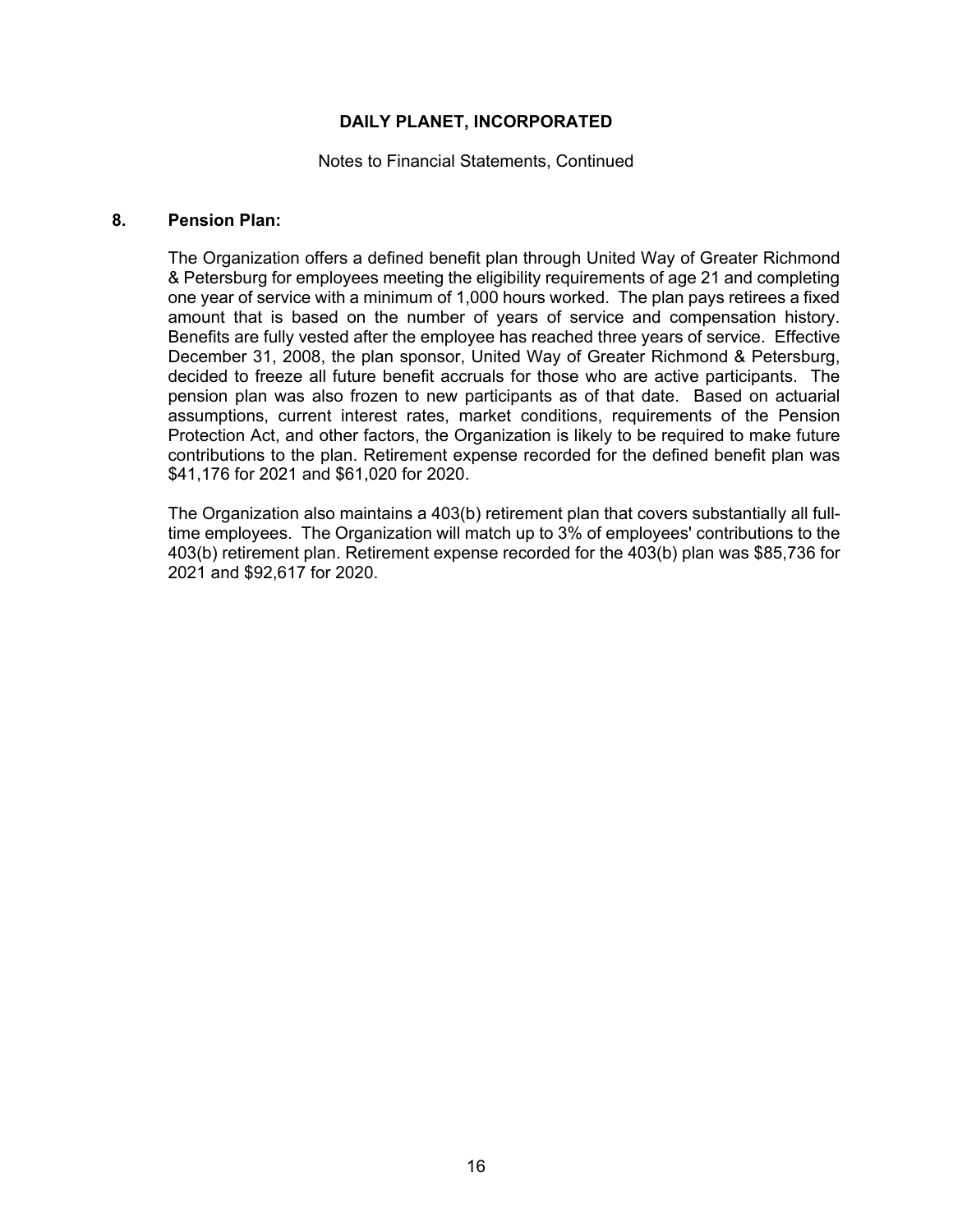#### Notes to Financial Statements, Continued

#### **8. Pension Plan:**

 The Organization offers a defined benefit plan through United Way of Greater Richmond & Petersburg for employees meeting the eligibility requirements of age 21 and completing one year of service with a minimum of 1,000 hours worked. The plan pays retirees a fixed amount that is based on the number of years of service and compensation history. Benefits are fully vested after the employee has reached three years of service. Effective December 31, 2008, the plan sponsor, United Way of Greater Richmond & Petersburg, decided to freeze all future benefit accruals for those who are active participants. The pension plan was also frozen to new participants as of that date. Based on actuarial assumptions, current interest rates, market conditions, requirements of the Pension Protection Act, and other factors, the Organization is likely to be required to make future contributions to the plan. Retirement expense recorded for the defined benefit plan was \$41,176 for 2021 and \$61,020 for 2020.

The Organization also maintains a 403(b) retirement plan that covers substantially all fulltime employees. The Organization will match up to 3% of employees' contributions to the 403(b) retirement plan. Retirement expense recorded for the 403(b) plan was \$85,736 for 2021 and \$92,617 for 2020.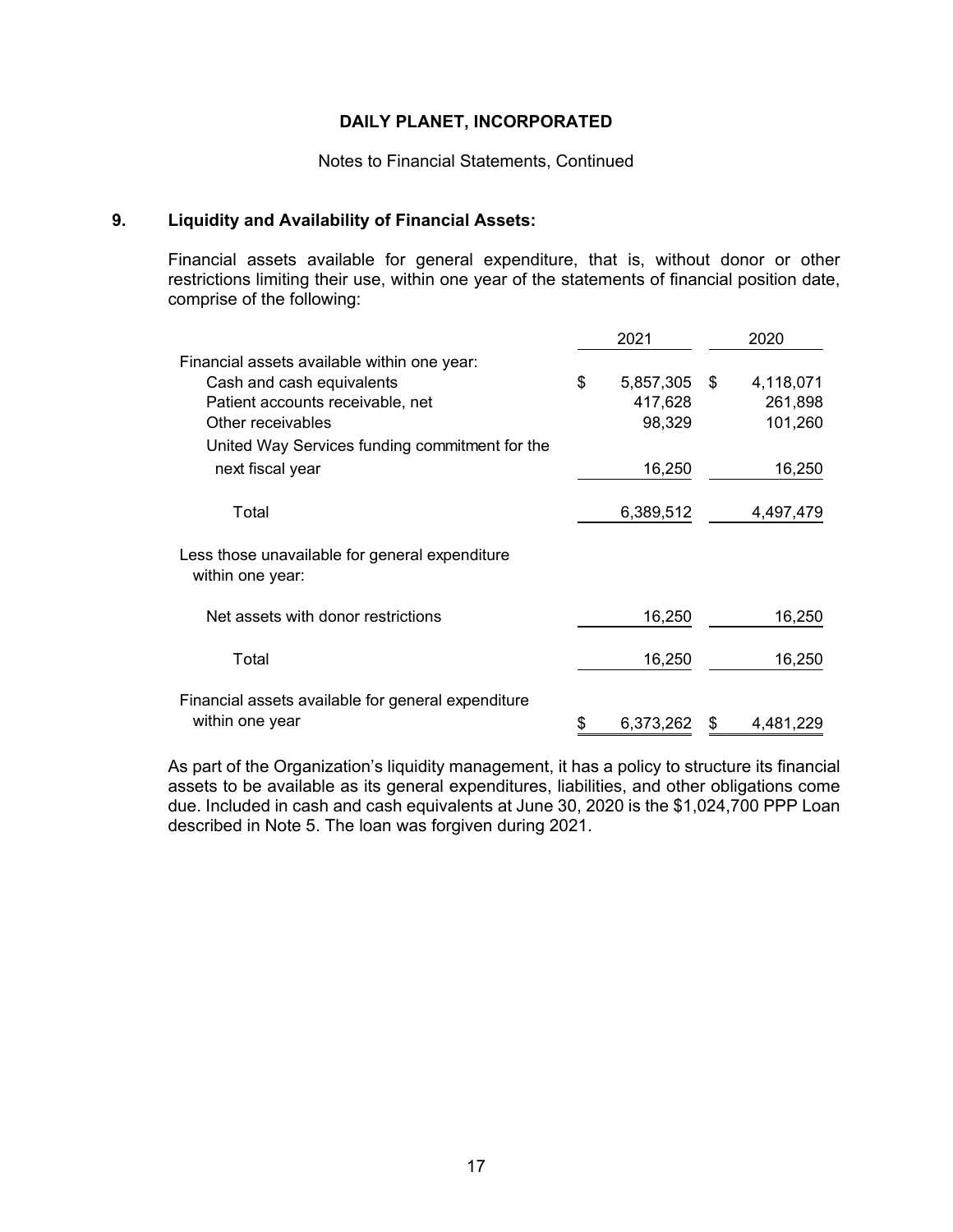#### Notes to Financial Statements, Continued

#### **9. Liquidity and Availability of Financial Assets:**

Financial assets available for general expenditure, that is, without donor or other restrictions limiting their use, within one year of the statements of financial position date, comprise of the following:

|                                                                                                                                   | 2021                                    | 2020                            |
|-----------------------------------------------------------------------------------------------------------------------------------|-----------------------------------------|---------------------------------|
| Financial assets available within one year:<br>Cash and cash equivalents<br>Patient accounts receivable, net<br>Other receivables | \$<br>5,857,305 \$<br>417,628<br>98,329 | 4,118,071<br>261,898<br>101,260 |
| United Way Services funding commitment for the<br>next fiscal year                                                                | 16,250                                  | 16,250                          |
| Total                                                                                                                             | 6,389,512                               | 4,497,479                       |
| Less those unavailable for general expenditure<br>within one year:                                                                |                                         |                                 |
| Net assets with donor restrictions                                                                                                | 16,250                                  | 16,250                          |
| Total                                                                                                                             | 16,250                                  | 16,250                          |
| Financial assets available for general expenditure<br>within one year                                                             | \$<br>6,373,262                         | \$<br>4,481,229                 |

As part of the Organization's liquidity management, it has a policy to structure its financial assets to be available as its general expenditures, liabilities, and other obligations come due. Included in cash and cash equivalents at June 30, 2020 is the \$1,024,700 PPP Loan described in Note 5. The loan was forgiven during 2021.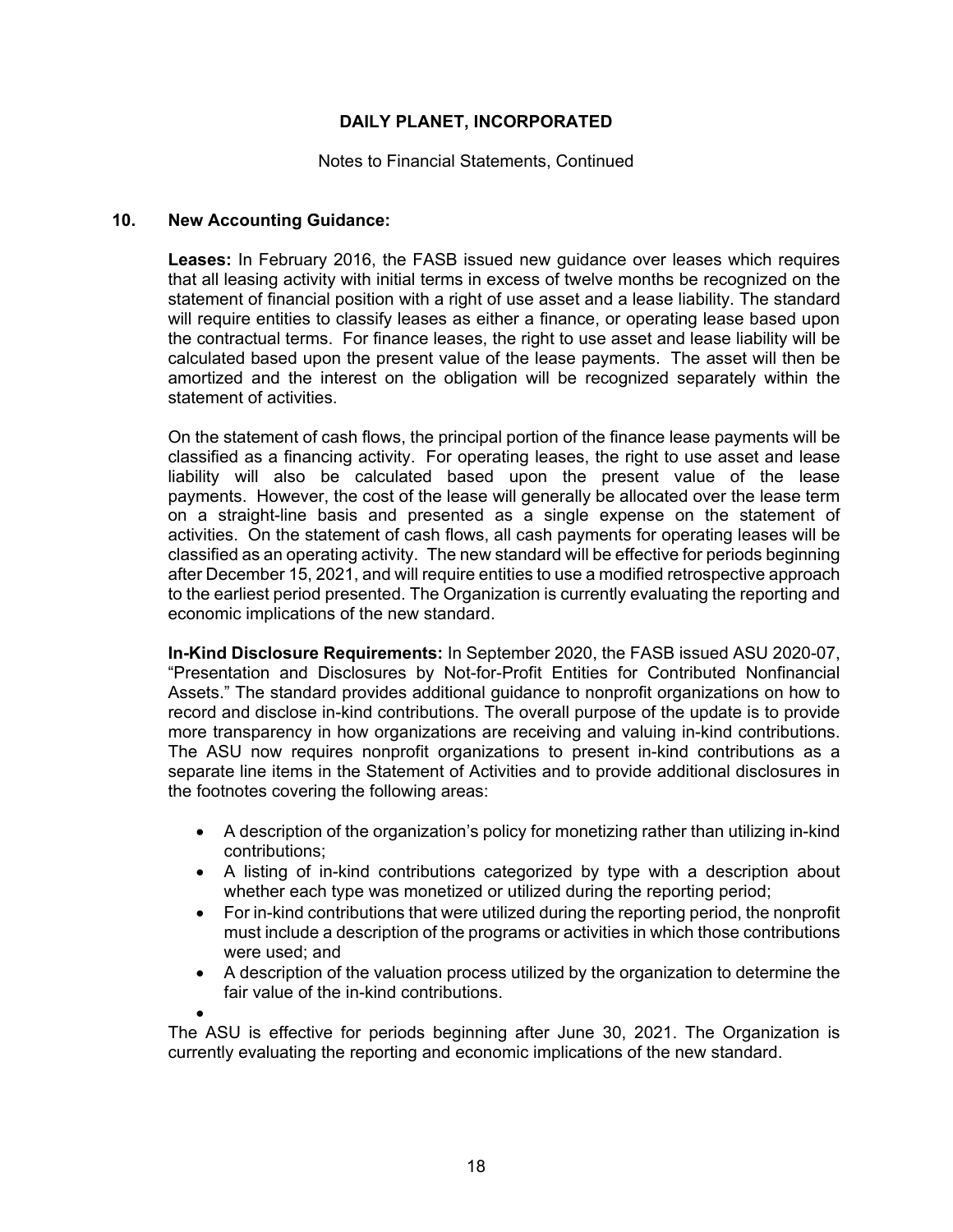Notes to Financial Statements, Continued

#### **10. New Accounting Guidance:**

**Leases:** In February 2016, the FASB issued new guidance over leases which requires that all leasing activity with initial terms in excess of twelve months be recognized on the statement of financial position with a right of use asset and a lease liability. The standard will require entities to classify leases as either a finance, or operating lease based upon the contractual terms. For finance leases, the right to use asset and lease liability will be calculated based upon the present value of the lease payments. The asset will then be amortized and the interest on the obligation will be recognized separately within the statement of activities.

On the statement of cash flows, the principal portion of the finance lease payments will be classified as a financing activity. For operating leases, the right to use asset and lease liability will also be calculated based upon the present value of the lease payments. However, the cost of the lease will generally be allocated over the lease term on a straight-line basis and presented as a single expense on the statement of activities. On the statement of cash flows, all cash payments for operating leases will be classified as an operating activity. The new standard will be effective for periods beginning after December 15, 2021, and will require entities to use a modified retrospective approach to the earliest period presented. The Organization is currently evaluating the reporting and economic implications of the new standard.

**In-Kind Disclosure Requirements:** In September 2020, the FASB issued ASU 2020-07, "Presentation and Disclosures by Not-for-Profit Entities for Contributed Nonfinancial Assets." The standard provides additional guidance to nonprofit organizations on how to record and disclose in-kind contributions. The overall purpose of the update is to provide more transparency in how organizations are receiving and valuing in-kind contributions. The ASU now requires nonprofit organizations to present in-kind contributions as a separate line items in the Statement of Activities and to provide additional disclosures in the footnotes covering the following areas:

- A description of the organization's policy for monetizing rather than utilizing in-kind contributions;
- A listing of in-kind contributions categorized by type with a description about whether each type was monetized or utilized during the reporting period;
- For in-kind contributions that were utilized during the reporting period, the nonprofit must include a description of the programs or activities in which those contributions were used; and
- A description of the valuation process utilized by the organization to determine the fair value of the in-kind contributions.

 $\bullet$ The ASU is effective for periods beginning after June 30, 2021. The Organization is currently evaluating the reporting and economic implications of the new standard.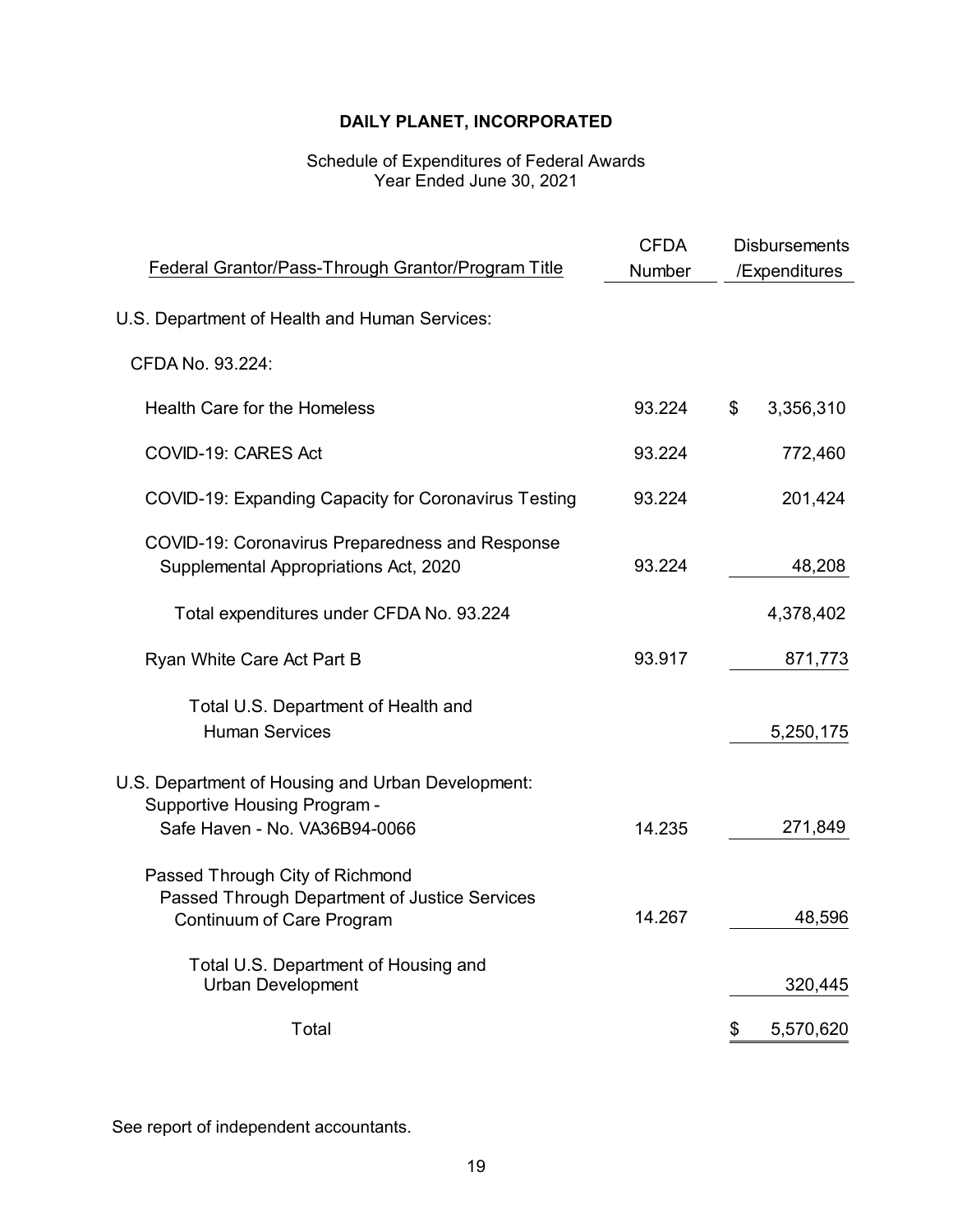#### Schedule of Expenditures of Federal Awards Year Ended June 30, 2021

|                                                                                                                           | <b>CFDA</b> | <b>Disbursements</b> |
|---------------------------------------------------------------------------------------------------------------------------|-------------|----------------------|
| Federal Grantor/Pass-Through Grantor/Program Title                                                                        | Number      | /Expenditures        |
| U.S. Department of Health and Human Services:                                                                             |             |                      |
| CFDA No. 93.224:                                                                                                          |             |                      |
| <b>Health Care for the Homeless</b>                                                                                       | 93.224      | \$<br>3,356,310      |
| COVID-19: CARES Act                                                                                                       | 93.224      | 772,460              |
| COVID-19: Expanding Capacity for Coronavirus Testing                                                                      | 93.224      | 201,424              |
| COVID-19: Coronavirus Preparedness and Response<br>Supplemental Appropriations Act, 2020                                  | 93.224      | 48,208               |
| Total expenditures under CFDA No. 93.224                                                                                  |             | 4,378,402            |
| Ryan White Care Act Part B                                                                                                | 93.917      | 871,773              |
| Total U.S. Department of Health and<br><b>Human Services</b>                                                              |             | 5,250,175            |
| U.S. Department of Housing and Urban Development:<br><b>Supportive Housing Program -</b><br>Safe Haven - No. VA36B94-0066 | 14.235      | 271,849              |
| Passed Through City of Richmond<br>Passed Through Department of Justice Services<br>Continuum of Care Program             | 14.267      | 48,596               |
| Total U.S. Department of Housing and<br><b>Urban Development</b>                                                          |             | 320,445              |
| Total                                                                                                                     |             | \$<br>5,570,620      |

See report of independent accountants.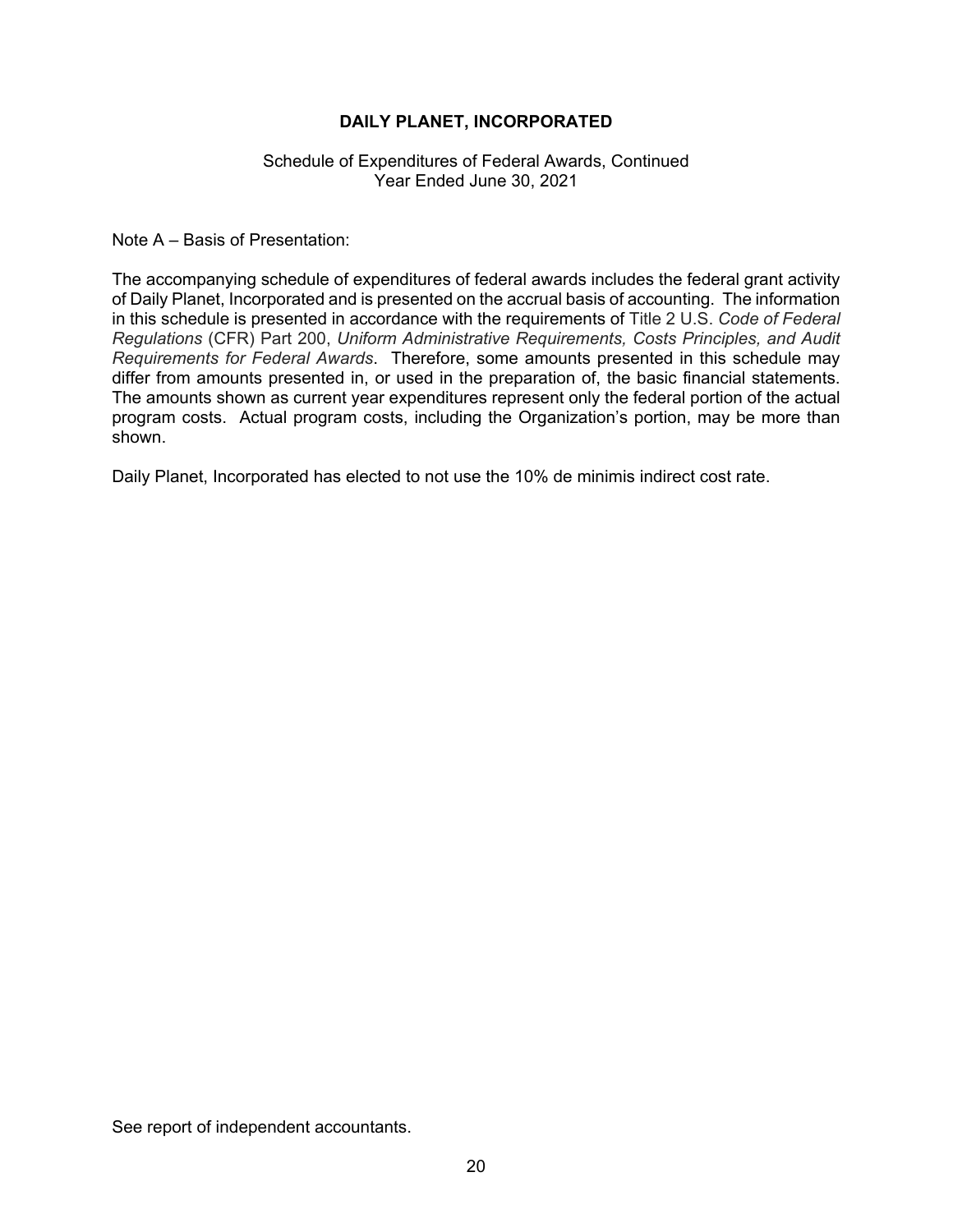#### Schedule of Expenditures of Federal Awards, Continued Year Ended June 30, 2021

Note A – Basis of Presentation:

The accompanying schedule of expenditures of federal awards includes the federal grant activity of Daily Planet, Incorporated and is presented on the accrual basis of accounting. The information in this schedule is presented in accordance with the requirements of Title 2 U.S. *Code of Federal Regulations* (CFR) Part 200, *Uniform Administrative Requirements, Costs Principles, and Audit Requirements for Federal Awards*. Therefore, some amounts presented in this schedule may differ from amounts presented in, or used in the preparation of, the basic financial statements. The amounts shown as current year expenditures represent only the federal portion of the actual program costs. Actual program costs, including the Organization's portion, may be more than shown.

Daily Planet, Incorporated has elected to not use the 10% de minimis indirect cost rate.

See report of independent accountants.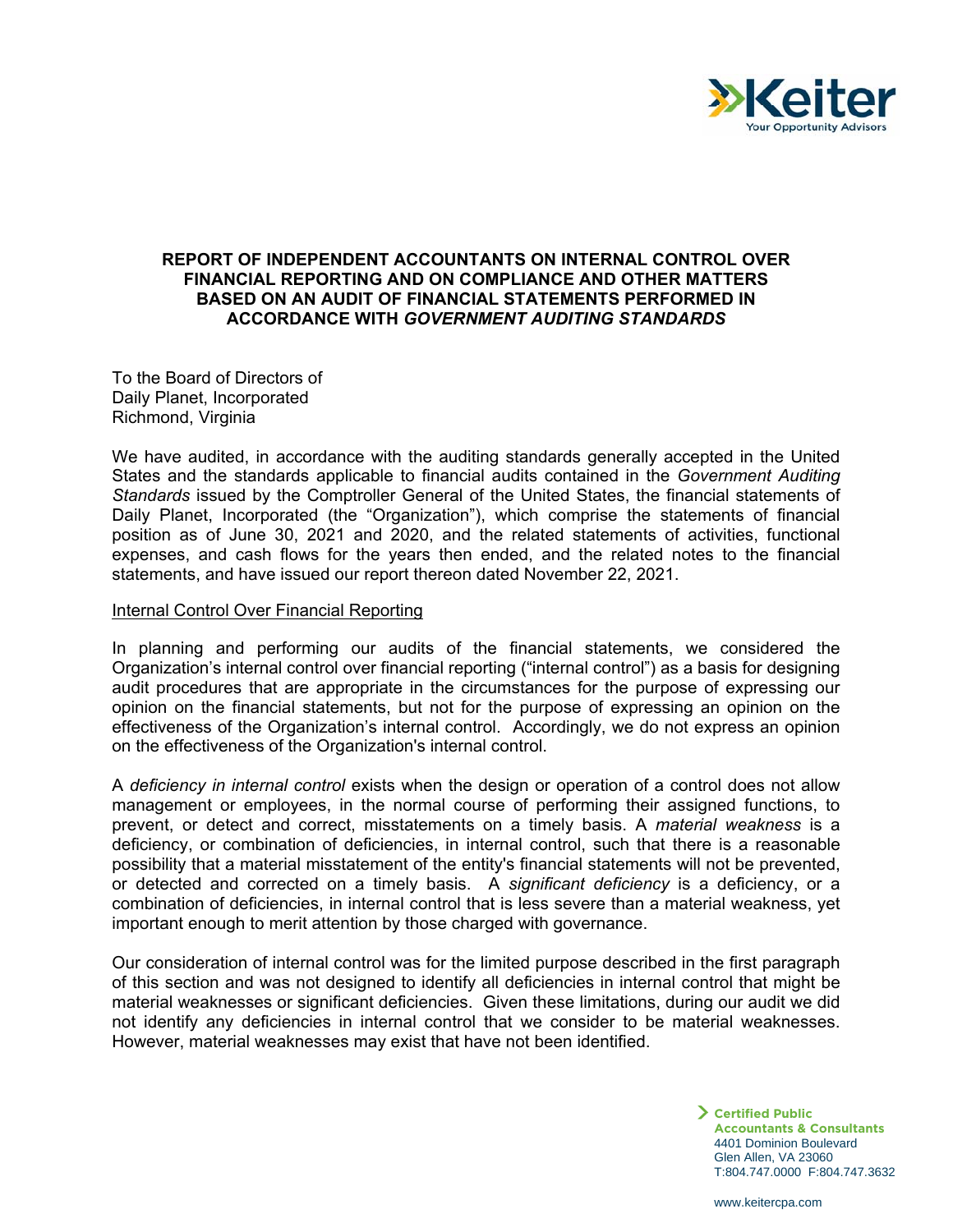

#### **REPORT OF INDEPENDENT ACCOUNTANTS ON INTERNAL CONTROL OVER FINANCIAL REPORTING AND ON COMPLIANCE AND OTHER MATTERS BASED ON AN AUDIT OF FINANCIAL STATEMENTS PERFORMED IN ACCORDANCE WITH** *GOVERNMENT AUDITING STANDARDS*

To the Board of Directors of Daily Planet, Incorporated Richmond, Virginia

We have audited, in accordance with the auditing standards generally accepted in the United States and the standards applicable to financial audits contained in the *Government Auditing Standards* issued by the Comptroller General of the United States, the financial statements of Daily Planet, Incorporated (the "Organization"), which comprise the statements of financial position as of June 30, 2021 and 2020, and the related statements of activities, functional expenses, and cash flows for the years then ended, and the related notes to the financial statements, and have issued our report thereon dated November 22, 2021.

#### Internal Control Over Financial Reporting

In planning and performing our audits of the financial statements, we considered the Organization's internal control over financial reporting ("internal control") as a basis for designing audit procedures that are appropriate in the circumstances for the purpose of expressing our opinion on the financial statements, but not for the purpose of expressing an opinion on the effectiveness of the Organization's internal control. Accordingly, we do not express an opinion on the effectiveness of the Organization's internal control.

A *deficiency in internal control* exists when the design or operation of a control does not allow management or employees, in the normal course of performing their assigned functions, to prevent, or detect and correct, misstatements on a timely basis. A *material weakness* is a deficiency, or combination of deficiencies, in internal control, such that there is a reasonable possibility that a material misstatement of the entity's financial statements will not be prevented, or detected and corrected on a timely basis. A *significant deficiency* is a deficiency, or a combination of deficiencies, in internal control that is less severe than a material weakness, yet important enough to merit attention by those charged with governance.

Our consideration of internal control was for the limited purpose described in the first paragraph of this section and was not designed to identify all deficiencies in internal control that might be material weaknesses or significant deficiencies. Given these limitations, during our audit we did not identify any deficiencies in internal control that we consider to be material weaknesses. However, material weaknesses may exist that have not been identified.

> **Certified Public Accountants & Consultants**  4401 Dominion Boulevard Glen Allen, VA 23060 T:804.747.0000 F:804.747.3632

www.keitercpa.com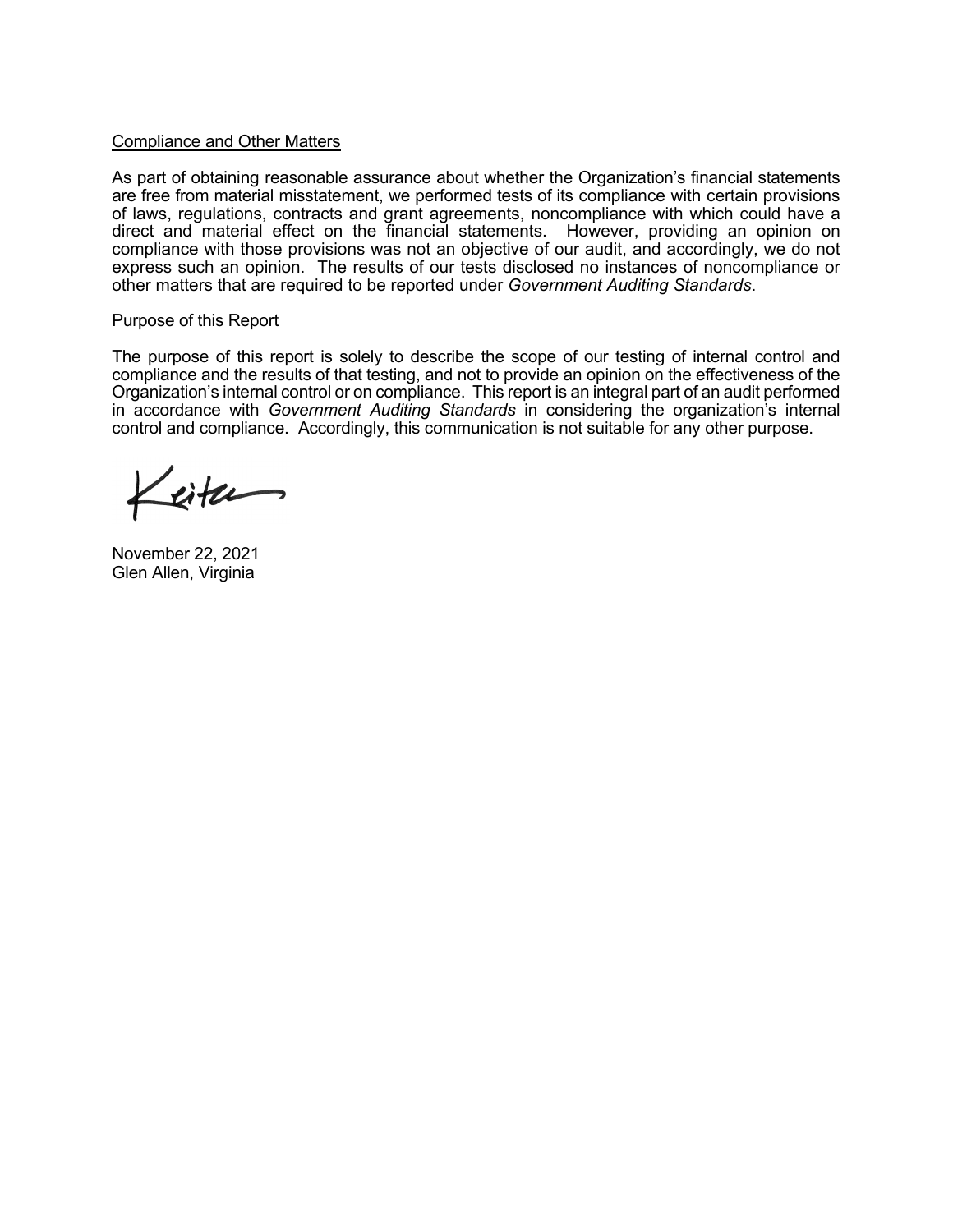#### Compliance and Other Matters

As part of obtaining reasonable assurance about whether the Organization's financial statements are free from material misstatement, we performed tests of its compliance with certain provisions of laws, regulations, contracts and grant agreements, noncompliance with which could have a direct and material effect on the financial statements. However, providing an opinion on compliance with those provisions was not an objective of our audit, and accordingly, we do not express such an opinion. The results of our tests disclosed no instances of noncompliance or other matters that are required to be reported under *Government Auditing Standards*.

#### Purpose of this Report

The purpose of this report is solely to describe the scope of our testing of internal control and compliance and the results of that testing, and not to provide an opinion on the effectiveness of the Organization's internal control or on compliance. This report is an integral part of an audit performed in accordance with *Government Auditing Standards* in considering the organization's internal control and compliance. Accordingly, this communication is not suitable for any other purpose.

Lite

November 22, 2021 Glen Allen, Virginia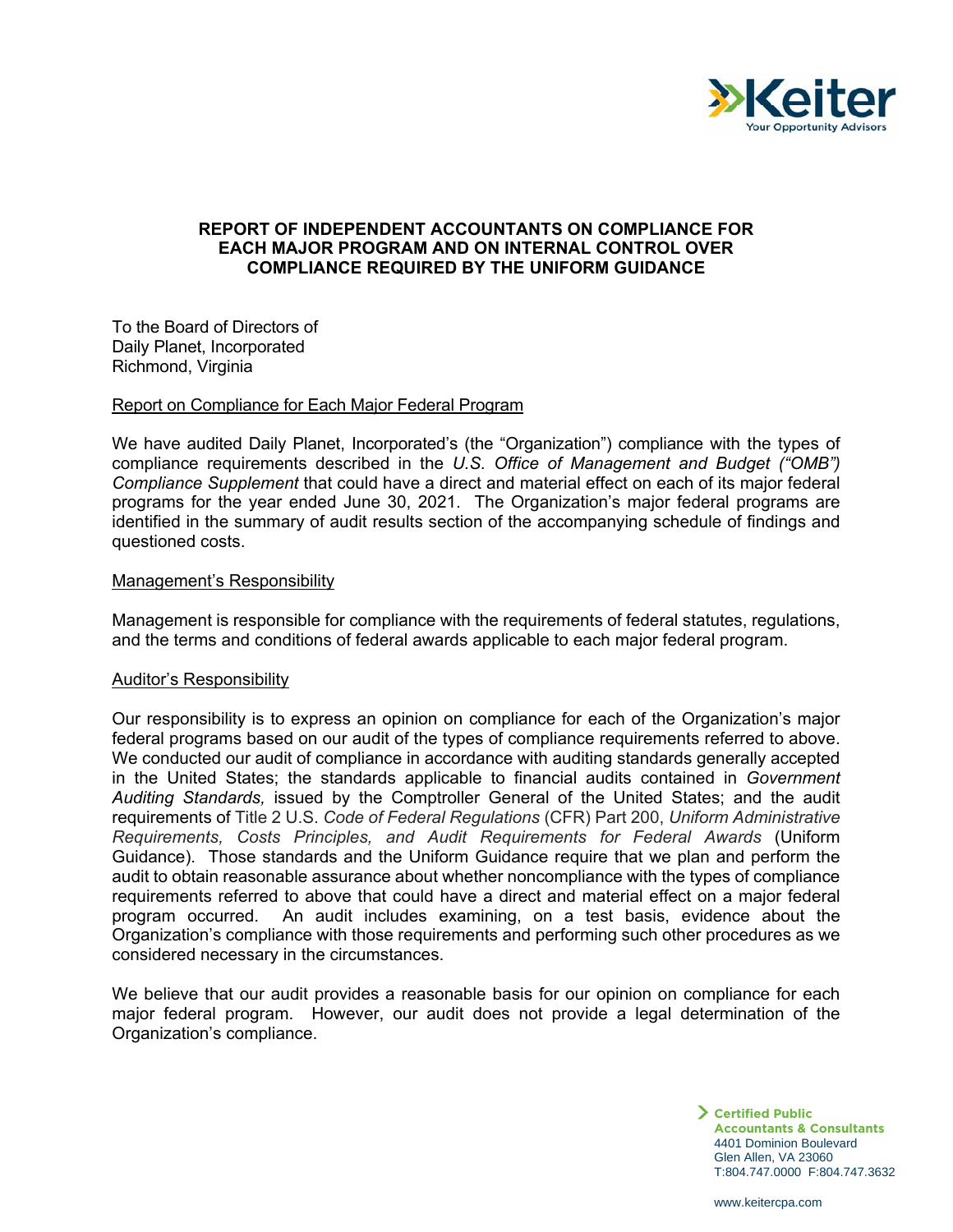

### **REPORT OF INDEPENDENT ACCOUNTANTS ON COMPLIANCE FOR EACH MAJOR PROGRAM AND ON INTERNAL CONTROL OVER COMPLIANCE REQUIRED BY THE UNIFORM GUIDANCE**

To the Board of Directors of Daily Planet, Incorporated Richmond, Virginia

#### Report on Compliance for Each Major Federal Program

We have audited Daily Planet, Incorporated's (the "Organization") compliance with the types of compliance requirements described in the *U.S. Office of Management and Budget ("OMB") Compliance Supplement* that could have a direct and material effect on each of its major federal programs for the year ended June 30, 2021. The Organization's major federal programs are identified in the summary of audit results section of the accompanying schedule of findings and questioned costs.

#### Management's Responsibility

Management is responsible for compliance with the requirements of federal statutes, regulations, and the terms and conditions of federal awards applicable to each major federal program.

#### Auditor's Responsibility

Our responsibility is to express an opinion on compliance for each of the Organization's major federal programs based on our audit of the types of compliance requirements referred to above. We conducted our audit of compliance in accordance with auditing standards generally accepted in the United States; the standards applicable to financial audits contained in *Government Auditing Standards,* issued by the Comptroller General of the United States; and the audit requirements of Title 2 U.S. *Code of Federal Regulations* (CFR) Part 200, *Uniform Administrative Requirements, Costs Principles, and Audit Requirements for Federal Awards* (Uniform Guidance). Those standards and the Uniform Guidance require that we plan and perform the audit to obtain reasonable assurance about whether noncompliance with the types of compliance requirements referred to above that could have a direct and material effect on a major federal program occurred. An audit includes examining, on a test basis, evidence about the Organization's compliance with those requirements and performing such other procedures as we considered necessary in the circumstances.

We believe that our audit provides a reasonable basis for our opinion on compliance for each major federal program. However, our audit does not provide a legal determination of the Organization's compliance.

> **Certified Public Accountants & Consultants**  4401 Dominion Boulevard Glen Allen, VA 23060 T:804.747.0000 F:804.747.3632

www.keitercpa.com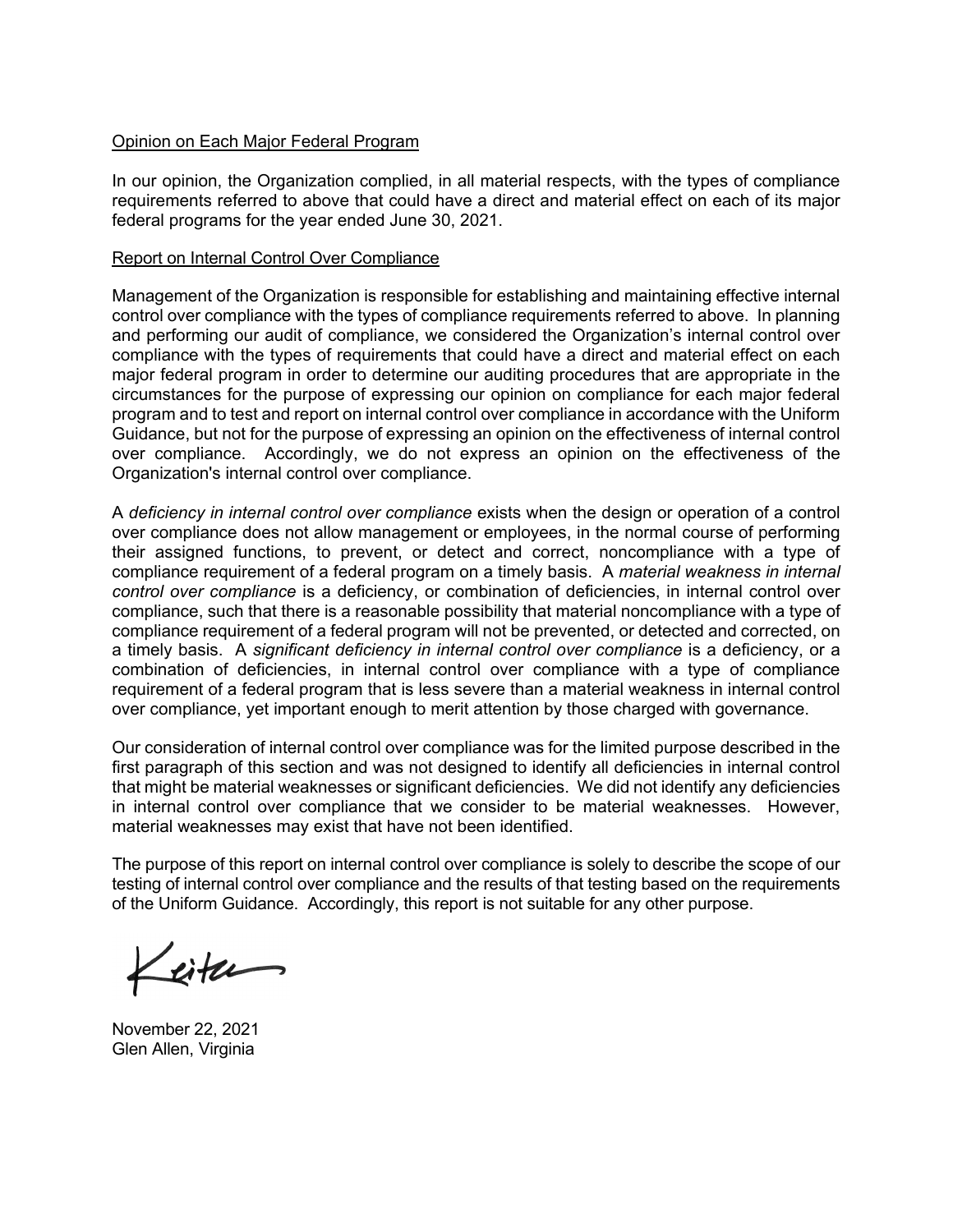#### Opinion on Each Major Federal Program

In our opinion, the Organization complied, in all material respects, with the types of compliance requirements referred to above that could have a direct and material effect on each of its major federal programs for the year ended June 30, 2021.

#### Report on Internal Control Over Compliance

Management of the Organization is responsible for establishing and maintaining effective internal control over compliance with the types of compliance requirements referred to above. In planning and performing our audit of compliance, we considered the Organization's internal control over compliance with the types of requirements that could have a direct and material effect on each major federal program in order to determine our auditing procedures that are appropriate in the circumstances for the purpose of expressing our opinion on compliance for each major federal program and to test and report on internal control over compliance in accordance with the Uniform Guidance, but not for the purpose of expressing an opinion on the effectiveness of internal control over compliance. Accordingly, we do not express an opinion on the effectiveness of the Organization's internal control over compliance.

A *deficiency in internal control over compliance* exists when the design or operation of a control over compliance does not allow management or employees, in the normal course of performing their assigned functions, to prevent, or detect and correct, noncompliance with a type of compliance requirement of a federal program on a timely basis. A *material weakness in internal control over compliance* is a deficiency, or combination of deficiencies, in internal control over compliance, such that there is a reasonable possibility that material noncompliance with a type of compliance requirement of a federal program will not be prevented, or detected and corrected, on a timely basis. A *significant deficiency in internal control over compliance* is a deficiency, or a combination of deficiencies, in internal control over compliance with a type of compliance requirement of a federal program that is less severe than a material weakness in internal control over compliance, yet important enough to merit attention by those charged with governance.

Our consideration of internal control over compliance was for the limited purpose described in the first paragraph of this section and was not designed to identify all deficiencies in internal control that might be material weaknesses or significant deficiencies. We did not identify any deficiencies in internal control over compliance that we consider to be material weaknesses. However, material weaknesses may exist that have not been identified.

The purpose of this report on internal control over compliance is solely to describe the scope of our testing of internal control over compliance and the results of that testing based on the requirements of the Uniform Guidance. Accordingly, this report is not suitable for any other purpose.

 $K$ itu

November 22, 2021 Glen Allen, Virginia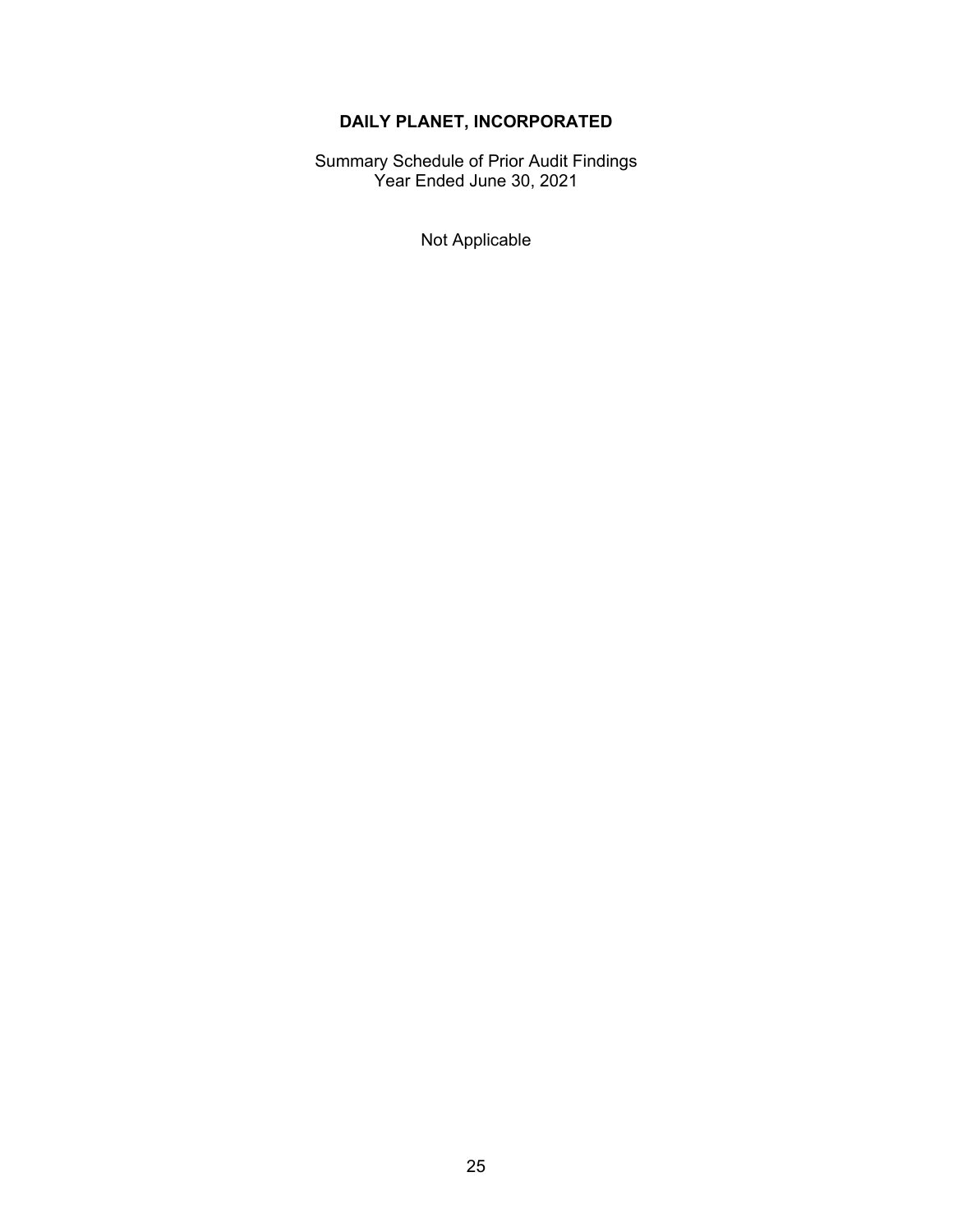Summary Schedule of Prior Audit Findings Year Ended June 30, 2021

Not Applicable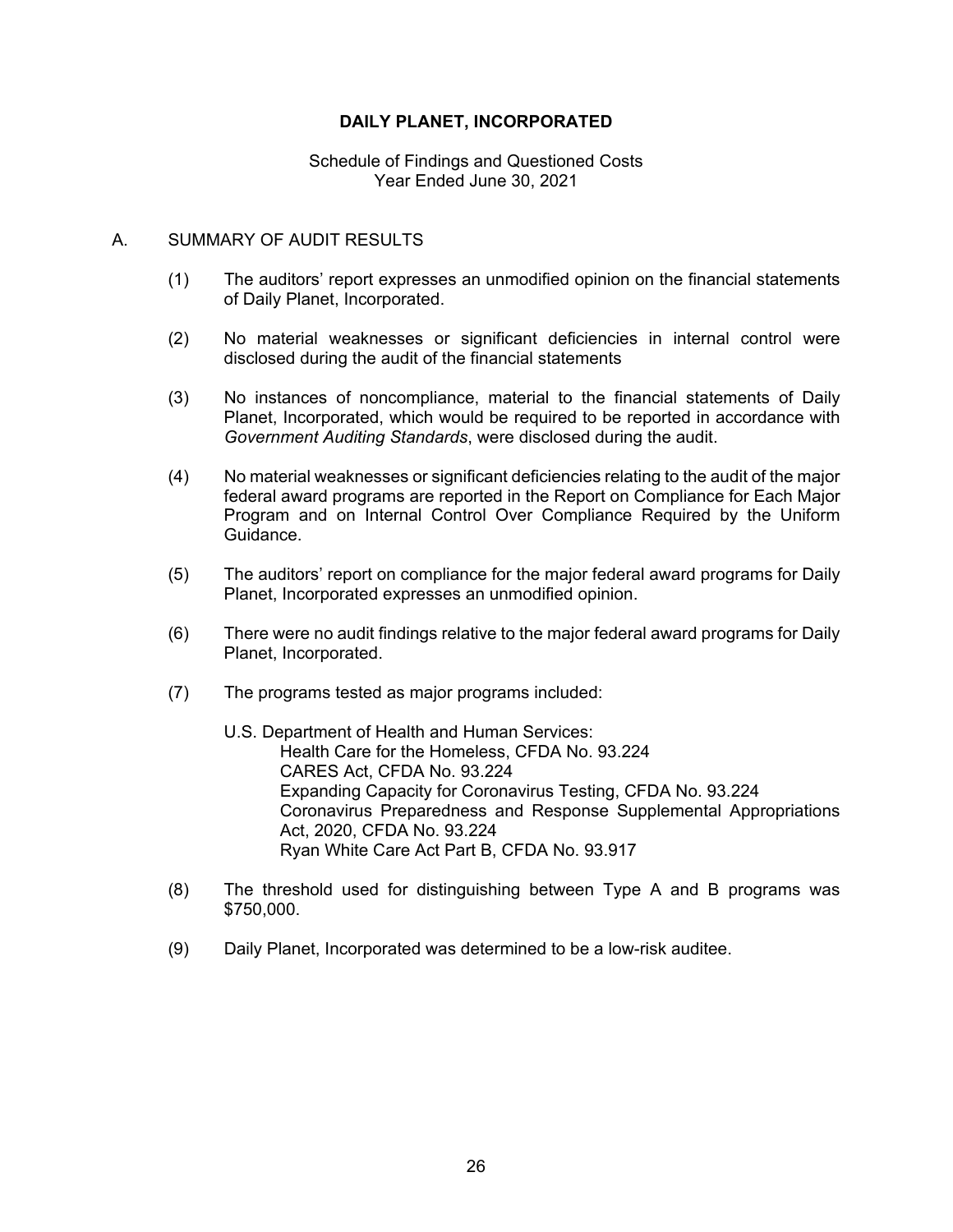#### Schedule of Findings and Questioned Costs Year Ended June 30, 2021

### A. SUMMARY OF AUDIT RESULTS

- (1) The auditors' report expresses an unmodified opinion on the financial statements of Daily Planet, Incorporated.
- (2) No material weaknesses or significant deficiencies in internal control were disclosed during the audit of the financial statements
- (3) No instances of noncompliance, material to the financial statements of Daily Planet, Incorporated, which would be required to be reported in accordance with *Government Auditing Standards*, were disclosed during the audit.
- (4) No material weaknesses or significant deficiencies relating to the audit of the major federal award programs are reported in the Report on Compliance for Each Major Program and on Internal Control Over Compliance Required by the Uniform Guidance.
- (5) The auditors' report on compliance for the major federal award programs for Daily Planet, Incorporated expresses an unmodified opinion.
- (6) There were no audit findings relative to the major federal award programs for Daily Planet, Incorporated.
- (7) The programs tested as major programs included:
	- U.S. Department of Health and Human Services: Health Care for the Homeless, CFDA No. 93.224 CARES Act, CFDA No. 93.224 Expanding Capacity for Coronavirus Testing, CFDA No. 93.224 Coronavirus Preparedness and Response Supplemental Appropriations Act, 2020, CFDA No. 93.224 Ryan White Care Act Part B, CFDA No. 93.917
- (8) The threshold used for distinguishing between Type A and B programs was \$750,000.
- (9) Daily Planet, Incorporated was determined to be a low-risk auditee.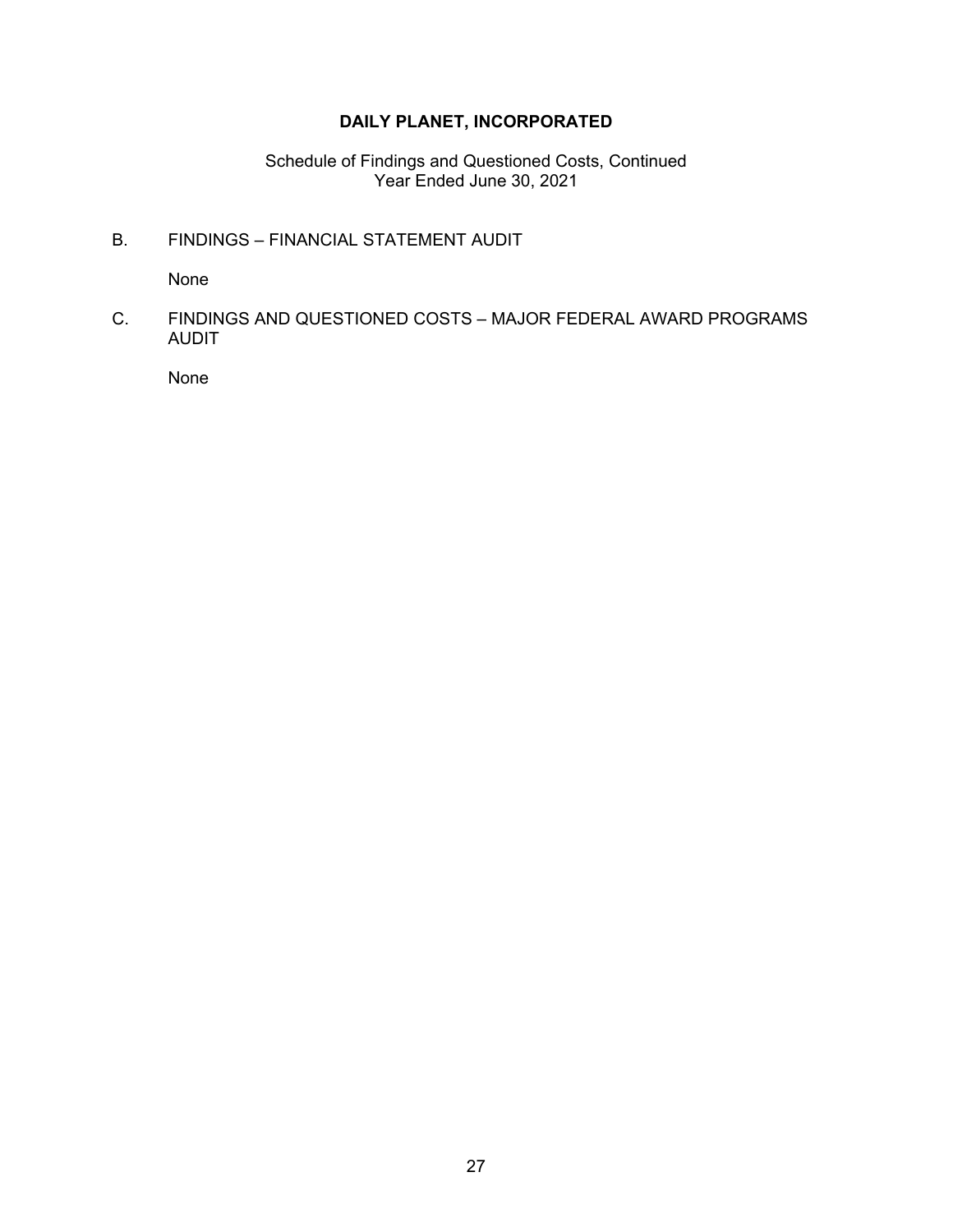Schedule of Findings and Questioned Costs, Continued Year Ended June 30, 2021

B. FINDINGS – FINANCIAL STATEMENT AUDIT

None

C. FINDINGS AND QUESTIONED COSTS – MAJOR FEDERAL AWARD PROGRAMS AUDIT

None